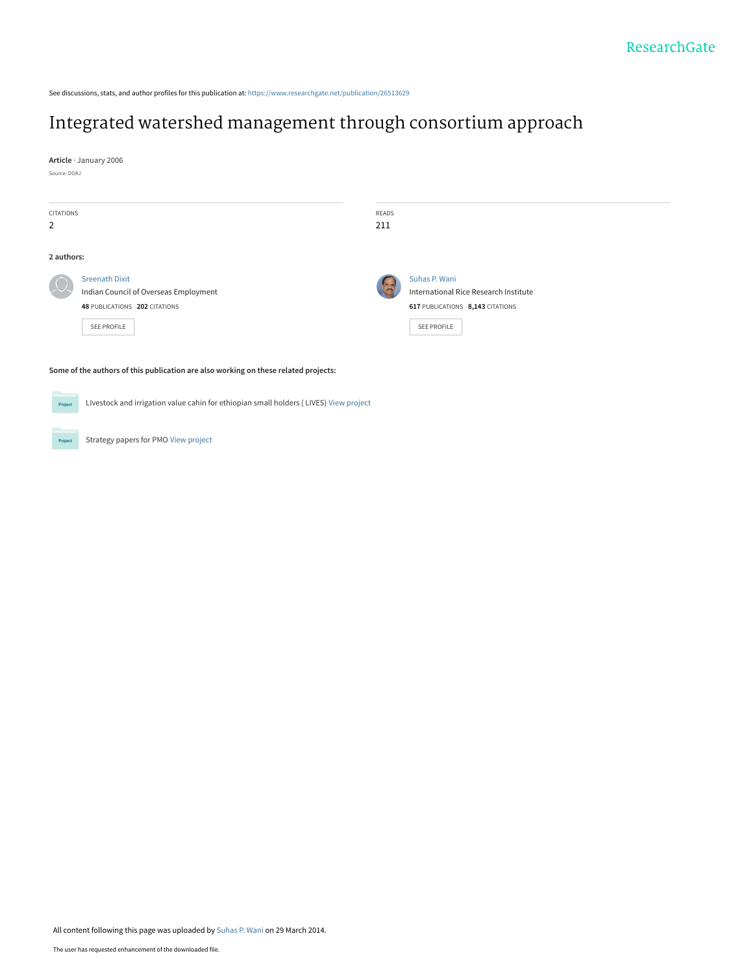See discussions, stats, and author profiles for this publication at: [https://www.researchgate.net/publication/26513629](https://www.researchgate.net/publication/26513629_Integrated_watershed_management_through_consortium_approach?enrichId=rgreq-30cb0e1ca7a93b6638ca26d2b8d929cc-XXX&enrichSource=Y292ZXJQYWdlOzI2NTEzNjI5O0FTOjk5MzI2MTQzNTAwMjk2QDE0MDA2OTI2MDYyNTQ%3D&el=1_x_2&_esc=publicationCoverPdf)

### [Integrated watershed management through consortium approach](https://www.researchgate.net/publication/26513629_Integrated_watershed_management_through_consortium_approach?enrichId=rgreq-30cb0e1ca7a93b6638ca26d2b8d929cc-XXX&enrichSource=Y292ZXJQYWdlOzI2NTEzNjI5O0FTOjk5MzI2MTQzNTAwMjk2QDE0MDA2OTI2MDYyNTQ%3D&el=1_x_3&_esc=publicationCoverPdf)

**Article** · January 2006

Source: DOAJ

Project

| CITATIONS<br>2 |                                                                                                                       | READS<br>211 |                                                                                                                  |
|----------------|-----------------------------------------------------------------------------------------------------------------------|--------------|------------------------------------------------------------------------------------------------------------------|
| 2 authors:     |                                                                                                                       |              |                                                                                                                  |
|                | <b>Sreenath Dixit</b><br>Indian Council of Overseas Employment<br>48 PUBLICATIONS 202 CITATIONS<br><b>SEE PROFILE</b> |              | Suhas P. Wani<br>International Rice Research Institute<br>617 PUBLICATIONS 8,143 CITATIONS<br><b>SEE PROFILE</b> |
|                | Some of the authors of this publication are also working on these related projects:                                   |              |                                                                                                                  |
| Project        | Livestock and irrigation value cahin for ethiopian small holders (LIVES) View project                                 |              |                                                                                                                  |

Strategy papers for PMO [View project](https://www.researchgate.net/project/Strategy-papers-for-PMO?enrichId=rgreq-30cb0e1ca7a93b6638ca26d2b8d929cc-XXX&enrichSource=Y292ZXJQYWdlOzI2NTEzNjI5O0FTOjk5MzI2MTQzNTAwMjk2QDE0MDA2OTI2MDYyNTQ%3D&el=1_x_9&_esc=publicationCoverPdf)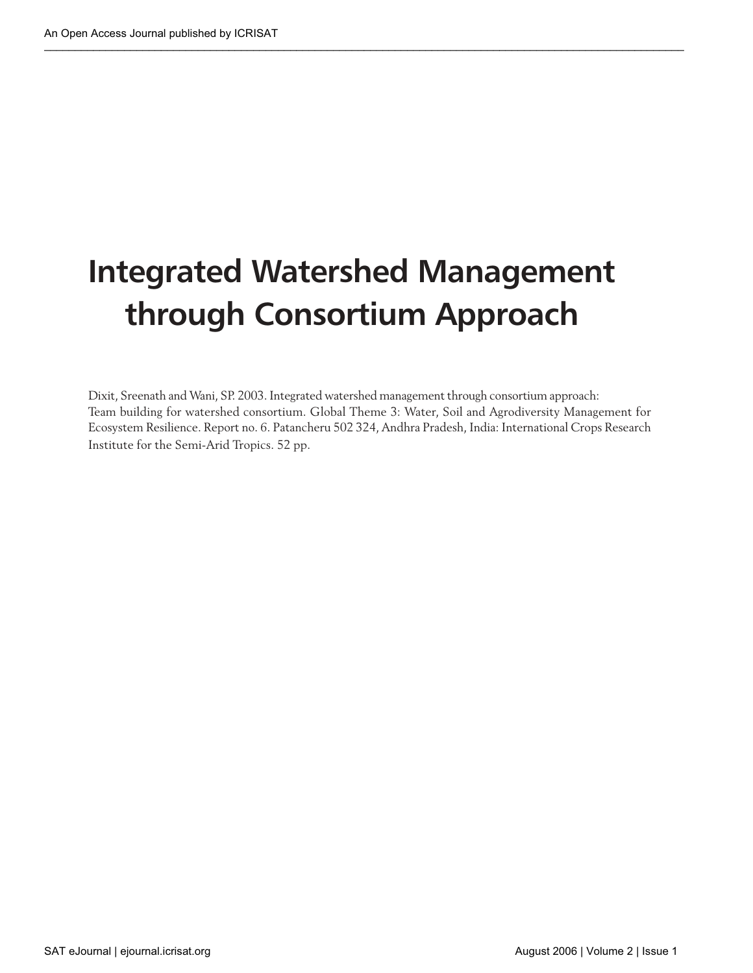# **Integrated Watershed Management through Consortium Approach**

Dixit, Sreenath and Wani, SP. 2003. Integrated watershed management through consortium approach: Team building for watershed consortium. Global Theme 3: Water, Soil and Agrodiversity Management for Ecosystem Resilience. Report no. 6. Patancheru 502 324, Andhra Pradesh, India: International Crops Research Institute for the Semi-Arid Tropics. 52 pp.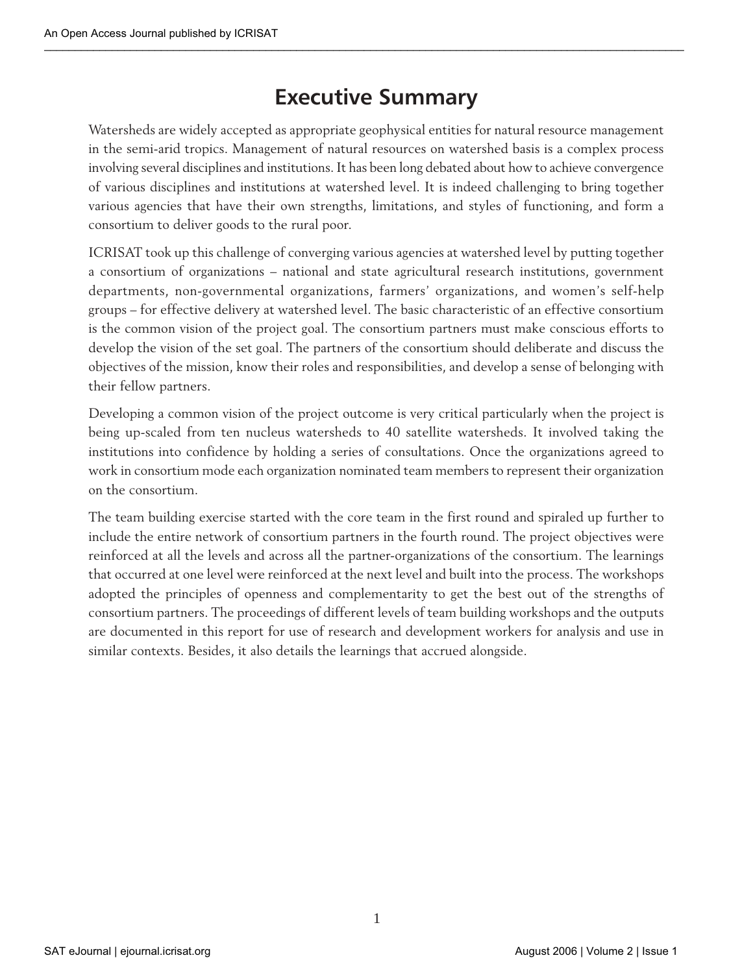# **Executive Summary**

Watersheds are widely accepted as appropriate geophysical entities for natural resource management in the semi-arid tropics. Management of natural resources on watershed basis is a complex process involving several disciplines and institutions. It has been long debated about how to achieve convergence of various disciplines and institutions at watershed level. It is indeed challenging to bring together various agencies that have their own strengths, limitations, and styles of functioning, and form a consortium to deliver goods to the rural poor.

ICRISAT took up this challenge of converging various agencies at watershed level by putting together a consortium of organizations – national and state agricultural research institutions, government departments, non-governmental organizations, farmers' organizations, and women's self-help groups – for effective delivery at watershed level. The basic characteristic of an effective consortium is the common vision of the project goal. The consortium partners must make conscious efforts to develop the vision of the set goal. The partners of the consortium should deliberate and discuss the objectives of the mission, know their roles and responsibilities, and develop a sense of belonging with their fellow partners.

Developing a common vision of the project outcome is very critical particularly when the project is being up-scaled from ten nucleus watersheds to 40 satellite watersheds. It involved taking the institutions into confidence by holding a series of consultations. Once the organizations agreed to work in consortium mode each organization nominated team members to represent their organization on the consortium.

The team building exercise started with the core team in the first round and spiraled up further to include the entire network of consortium partners in the fourth round. The project objectives were reinforced at all the levels and across all the partner-organizations of the consortium. The learnings that occurred at one level were reinforced at the next level and built into the process. The workshops adopted the principles of openness and complementarity to get the best out of the strengths of consortium partners. The proceedings of different levels of team building workshops and the outputs are documented in this report for use of research and development workers for analysis and use in similar contexts. Besides, it also details the learnings that accrued alongside.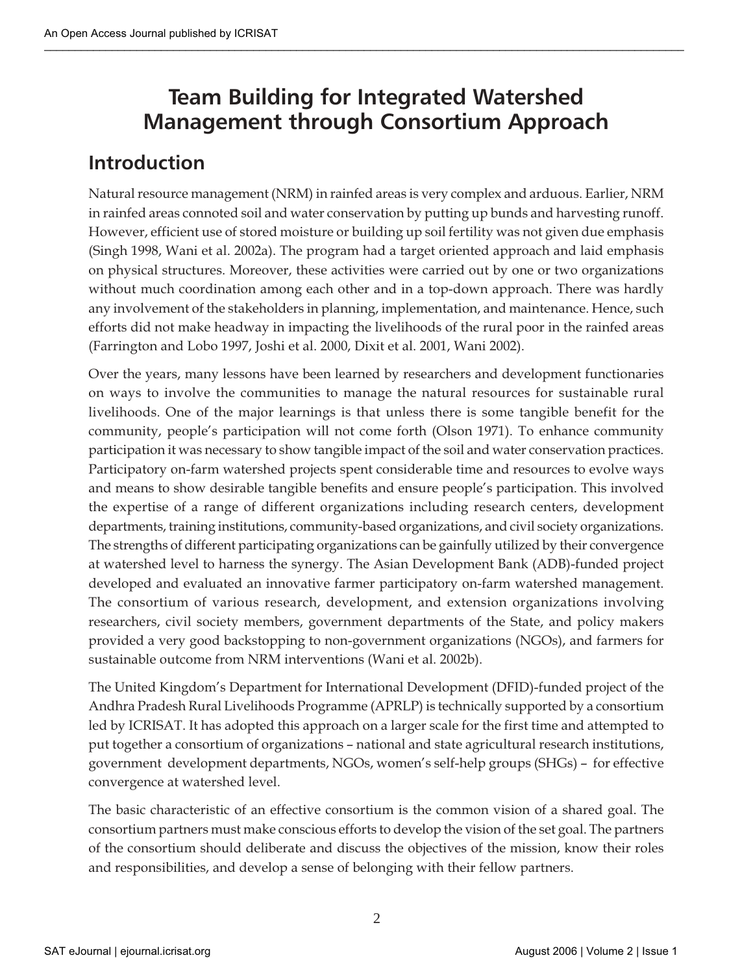# **Team Building for Integrated Watershed Management through Consortium Approach**

### **Introduction**

Natural resource management (NRM) in rainfed areas is very complex and arduous. Earlier, NRM in rainfed areas connoted soil and water conservation by putting up bunds and harvesting runoff. However, efficient use of stored moisture or building up soil fertility was not given due emphasis (Singh 1998, Wani et al. 2002a). The program had a target oriented approach and laid emphasis on physical structures. Moreover, these activities were carried out by one or two organizations without much coordination among each other and in a top-down approach. There was hardly any involvement of the stakeholders in planning, implementation, and maintenance. Hence, such efforts did not make headway in impacting the livelihoods of the rural poor in the rainfed areas (Farrington and Lobo 1997, Joshi et al. 2000, Dixit et al. 2001, Wani 2002).

Over the years, many lessons have been learned by researchers and development functionaries on ways to involve the communities to manage the natural resources for sustainable rural livelihoods. One of the major learnings is that unless there is some tangible benefit for the community, people's participation will not come forth (Olson 1971). To enhance community participation it was necessary to show tangible impact of the soil and water conservation practices. Participatory on-farm watershed projects spent considerable time and resources to evolve ways and means to show desirable tangible benefits and ensure people's participation. This involved the expertise of a range of different organizations including research centers, development departments, training institutions, community-based organizations, and civil society organizations. The strengths of different participating organizations can be gainfully utilized by their convergence at watershed level to harness the synergy. The Asian Development Bank (ADB)-funded project developed and evaluated an innovative farmer participatory on-farm watershed management. The consortium of various research, development, and extension organizations involving researchers, civil society members, government departments of the State, and policy makers provided a very good backstopping to non-government organizations (NGOs), and farmers for sustainable outcome from NRM interventions (Wani et al. 2002b).

The United Kingdom's Department for International Development (DFID)-funded project of the Andhra Pradesh Rural Livelihoods Programme (APRLP) is technically supported by a consortium led by ICRISAT. It has adopted this approach on a larger scale for the first time and attempted to put together a consortium of organizations – national and state agricultural research institutions, government development departments, NGOs, women's self-help groups (SHGs) – for effective convergence at watershed level.

The basic characteristic of an effective consortium is the common vision of a shared goal. The consortium partners must make conscious efforts to develop the vision of the set goal. The partners of the consortium should deliberate and discuss the objectives of the mission, know their roles and responsibilities, and develop a sense of belonging with their fellow partners.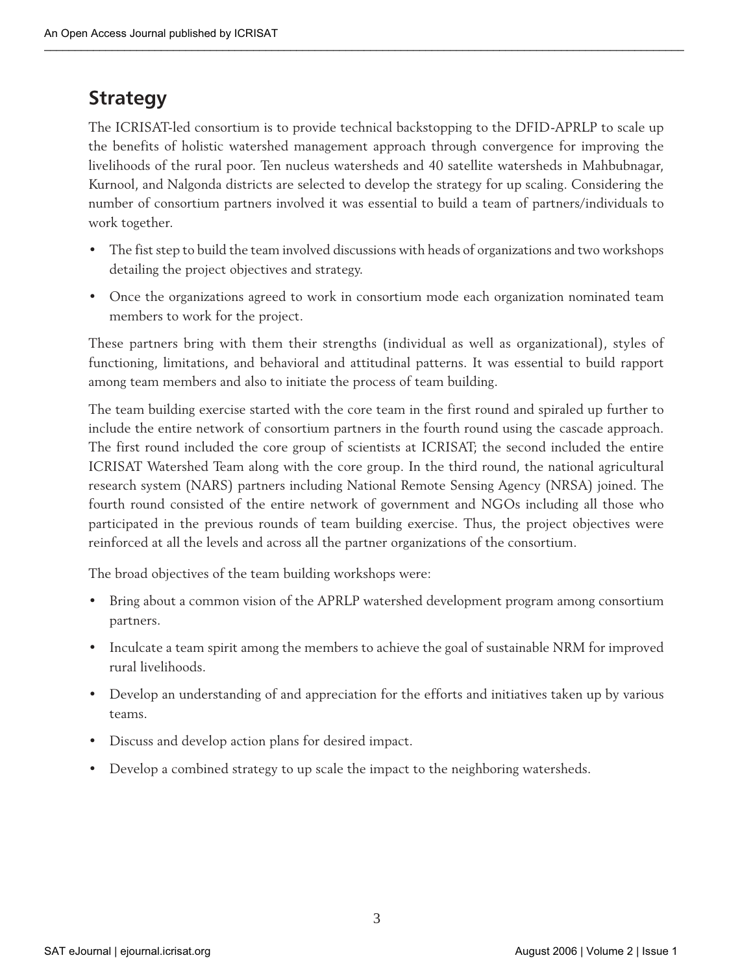### **Strategy**

The ICRISAT-led consortium is to provide technical backstopping to the DFID-APRLP to scale up the benefits of holistic watershed management approach through convergence for improving the livelihoods of the rural poor. Ten nucleus watersheds and 40 satellite watersheds in Mahbubnagar, Kurnool, and Nalgonda districts are selected to develop the strategy for up scaling. Considering the number of consortium partners involved it was essential to build a team of partners/individuals to work together.

- The fist step to build the team involved discussions with heads of organizations and two workshops detailing the project objectives and strategy.
- Once the organizations agreed to work in consortium mode each organization nominated team members to work for the project.

These partners bring with them their strengths (individual as well as organizational), styles of functioning, limitations, and behavioral and attitudinal patterns. It was essential to build rapport among team members and also to initiate the process of team building.

The team building exercise started with the core team in the first round and spiraled up further to include the entire network of consortium partners in the fourth round using the cascade approach. The first round included the core group of scientists at ICRISAT; the second included the entire ICRISAT Watershed Team along with the core group. In the third round, the national agricultural research system (NARS) partners including National Remote Sensing Agency (NRSA) joined. The fourth round consisted of the entire network of government and NGOs including all those who participated in the previous rounds of team building exercise. Thus, the project objectives were reinforced at all the levels and across all the partner organizations of the consortium.

The broad objectives of the team building workshops were:

- Bring about a common vision of the APRLP watershed development program among consortium partners.
- Inculcate a team spirit among the members to achieve the goal of sustainable NRM for improved rural livelihoods.
- Develop an understanding of and appreciation for the efforts and initiatives taken up by various teams.
- Discuss and develop action plans for desired impact.
- Develop a combined strategy to up scale the impact to the neighboring watersheds.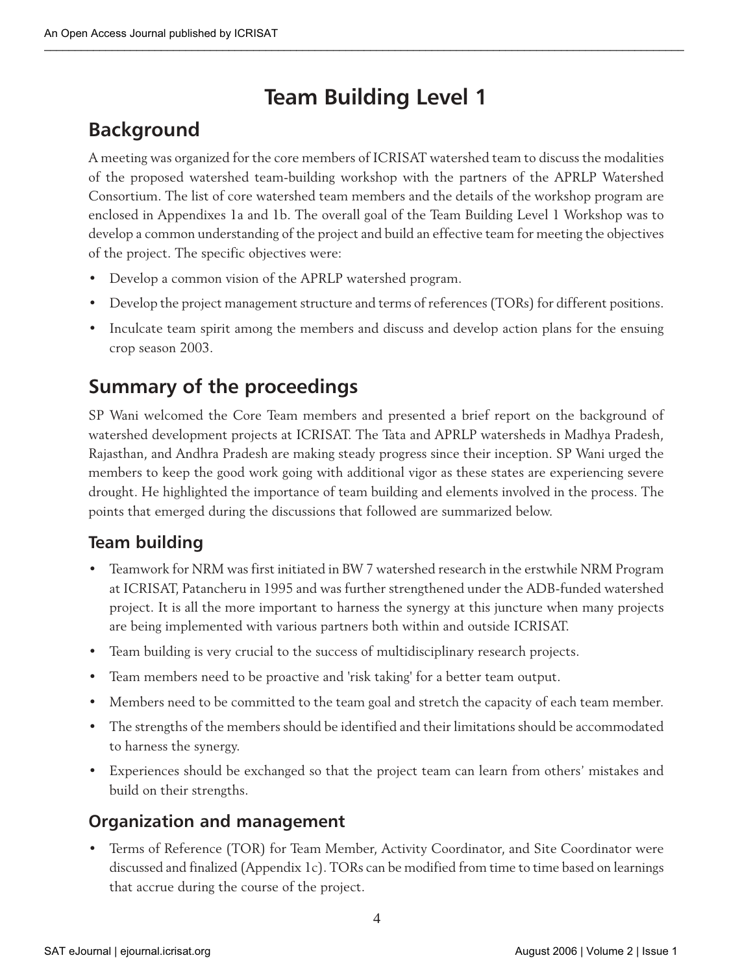# **Team Building Level 1**

### **Background**

A meeting was organized for the core members of ICRISAT watershed team to discuss the modalities of the proposed watershed team-building workshop with the partners of the APRLP Watershed Consortium. The list of core watershed team members and the details of the workshop program are enclosed in Appendixes 1a and 1b. The overall goal of the Team Building Level 1 Workshop was to develop a common understanding of the project and build an effective team for meeting the objectives of the project. The specific objectives were:

- Develop a common vision of the APRLP watershed program.
- Develop the project management structure and terms of references (TORs) for different positions.
- Inculcate team spirit among the members and discuss and develop action plans for the ensuing crop season 2003.

### **Summary of the proceedings**

SP Wani welcomed the Core Team members and presented a brief report on the background of watershed development projects at ICRISAT. The Tata and APRLP watersheds in Madhya Pradesh, Rajasthan, and Andhra Pradesh are making steady progress since their inception. SP Wani urged the members to keep the good work going with additional vigor as these states are experiencing severe drought. He highlighted the importance of team building and elements involved in the process. The points that emerged during the discussions that followed are summarized below.

### **Team building**

- Teamwork for NRM was first initiated in BW 7 watershed research in the erstwhile NRM Program at ICRISAT, Patancheru in 1995 and was further strengthened under the ADB-funded watershed project. It is all the more important to harness the synergy at this juncture when many projects are being implemented with various partners both within and outside ICRISAT.
- Team building is very crucial to the success of multidisciplinary research projects.
- Team members need to be proactive and 'risk taking' for a better team output.
- Members need to be committed to the team goal and stretch the capacity of each team member.
- The strengths of the members should be identified and their limitations should be accommodated to harness the synergy.
- Experiences should be exchanged so that the project team can learn from others' mistakes and build on their strengths.

### **Organization and management**

• Terms of Reference (TOR) for Team Member, Activity Coordinator, and Site Coordinator were discussed and finalized (Appendix 1c). TORs can be modified from time to time based on learnings that accrue during the course of the project.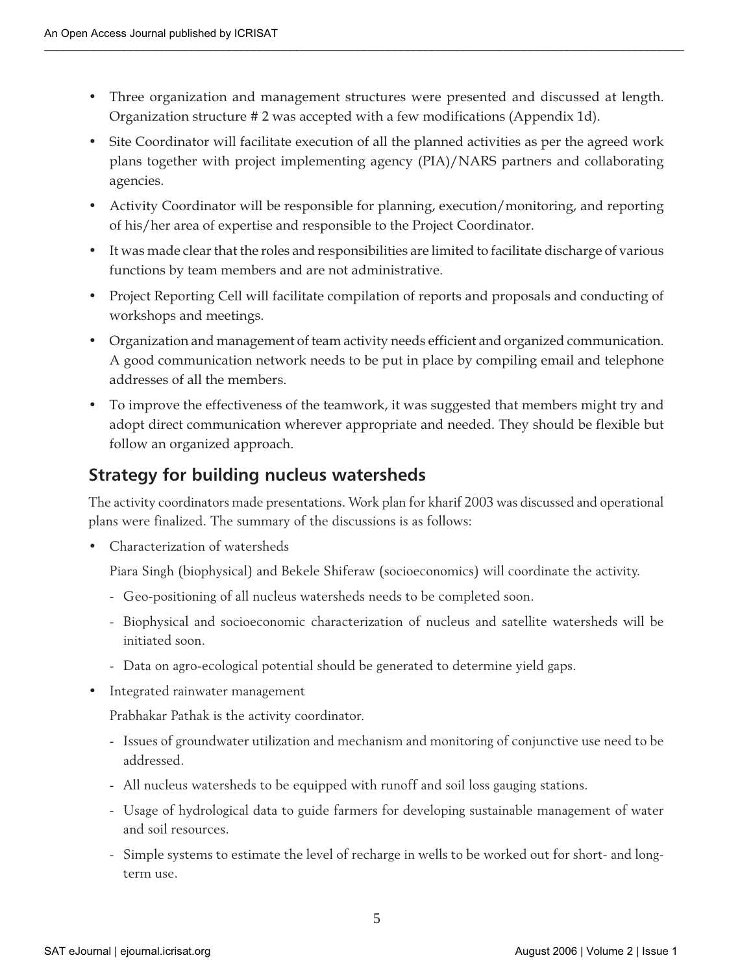- Three organization and management structures were presented and discussed at length. Organization structure # 2 was accepted with a few modifications (Appendix 1d).
- Site Coordinator will facilitate execution of all the planned activities as per the agreed work plans together with project implementing agency (PIA)/NARS partners and collaborating agencies.
- Activity Coordinator will be responsible for planning, execution/monitoring, and reporting of his/her area of expertise and responsible to the Project Coordinator.
- It was made clear that the roles and responsibilities are limited to facilitate discharge of various functions by team members and are not administrative.
- Project Reporting Cell will facilitate compilation of reports and proposals and conducting of workshops and meetings.
- Organization and management of team activity needs efficient and organized communication. A good communication network needs to be put in place by compiling email and telephone addresses of all the members.
- To improve the effectiveness of the teamwork, it was suggested that members might try and adopt direct communication wherever appropriate and needed. They should be flexible but follow an organized approach.

### **Strategy for building nucleus watersheds**

The activity coordinators made presentations. Work plan for kharif 2003 was discussed and operational plans were finalized. The summary of the discussions is as follows:

• Characterization of watersheds

Piara Singh (biophysical) and Bekele Shiferaw (socioeconomics) will coordinate the activity.

- Geo-positioning of all nucleus watersheds needs to be completed soon.
- Biophysical and socioeconomic characterization of nucleus and satellite watersheds will be initiated soon.
- Data on agro-ecological potential should be generated to determine yield gaps.
- Integrated rainwater management

Prabhakar Pathak is the activity coordinator.

- Issues of groundwater utilization and mechanism and monitoring of conjunctive use need to be addressed.
- All nucleus watersheds to be equipped with runoff and soil loss gauging stations.
- Usage of hydrological data to guide farmers for developing sustainable management of water and soil resources.
- Simple systems to estimate the level of recharge in wells to be worked out for short- and longterm use.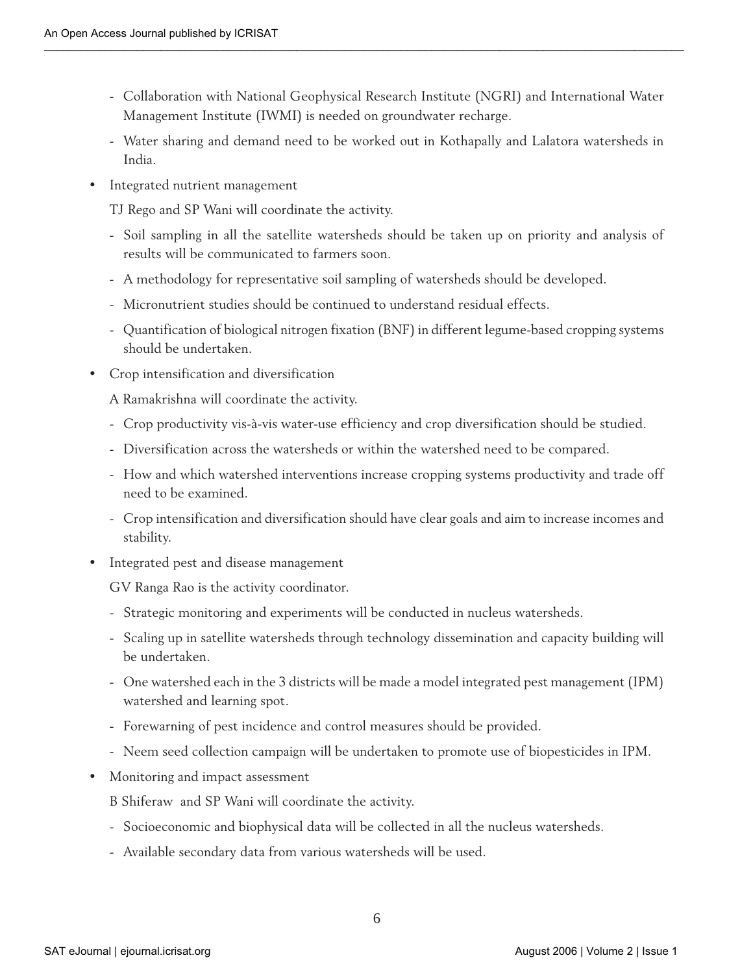- Collaboration with National Geophysical Research Institute (NGRI) and International Water Management Institute (IWMI) is needed on groundwater recharge.
- Water sharing and demand need to be worked out in Kothapally and Lalatora watersheds in India.
- Integrated nutrient management

TJ Rego and SP Wani will coordinate the activity.

- Soil sampling in all the satellite watersheds should be taken up on priority and analysis of results will be communicated to farmers soon.
- A methodology for representative soil sampling of watersheds should be developed.
- Micronutrient studies should be continued to understand residual effects.
- Quantification of biological nitrogen fixation (BNF) in different legume-based cropping systems should be undertaken.
- Crop intensification and diversification

A Ramakrishna will coordinate the activity.

- Crop productivity vis-à-vis water-use efficiency and crop diversification should be studied.
- Diversification across the watersheds or within the watershed need to be compared.
- How and which watershed interventions increase cropping systems productivity and trade off need to be examined.
- Crop intensification and diversification should have clear goals and aim to increase incomes and stability.
- Integrated pest and disease management

GV Ranga Rao is the activity coordinator.

- Strategic monitoring and experiments will be conducted in nucleus watersheds.
- Scaling up in satellite watersheds through technology dissemination and capacity building will be undertaken.
- One watershed each in the 3 districts will be made a model integrated pest management (IPM) watershed and learning spot.
- Forewarning of pest incidence and control measures should be provided.
- Neem seed collection campaign will be undertaken to promote use of biopesticides in IPM.
- Monitoring and impact assessment
	- B Shiferaw and SP Wani will coordinate the activity.
	- Socioeconomic and biophysical data will be collected in all the nucleus watersheds.
	- Available secondary data from various watersheds will be used.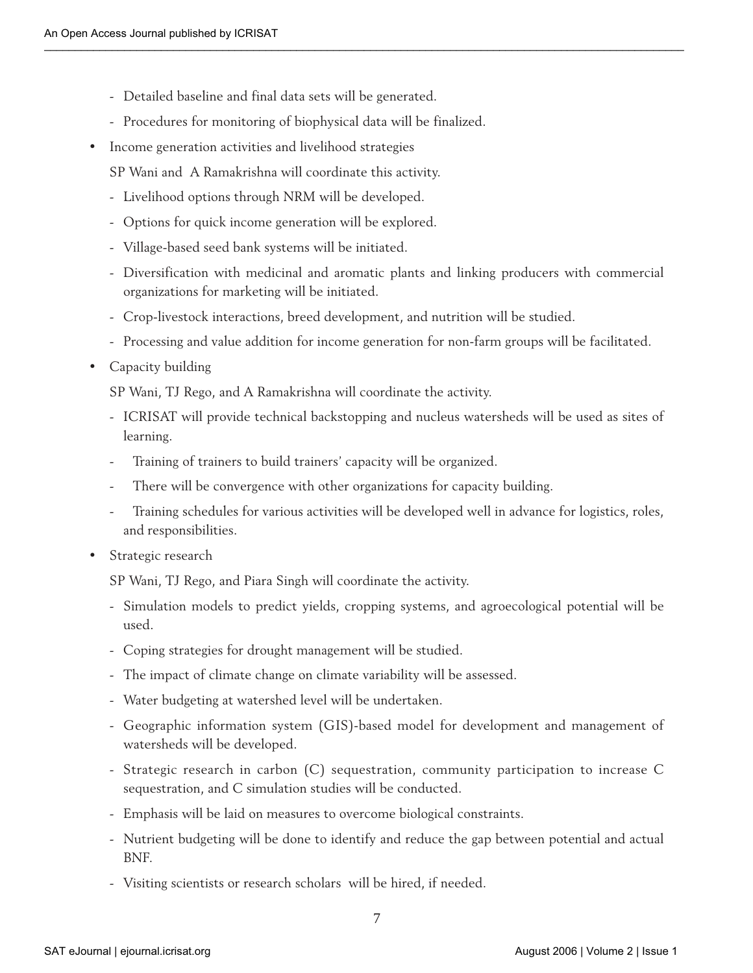- Detailed baseline and final data sets will be generated.
- Procedures for monitoring of biophysical data will be finalized.
- Income generation activities and livelihood strategies
	- SP Wani and A Ramakrishna will coordinate this activity.
	- Livelihood options through NRM will be developed.
	- Options for quick income generation will be explored.
	- Village-based seed bank systems will be initiated.
	- Diversification with medicinal and aromatic plants and linking producers with commercial organizations for marketing will be initiated.
	- Crop-livestock interactions, breed development, and nutrition will be studied.
	- Processing and value addition for income generation for non-farm groups will be facilitated.
- Capacity building

SP Wani, TJ Rego, and A Ramakrishna will coordinate the activity.

- ICRISAT will provide technical backstopping and nucleus watersheds will be used as sites of learning.
- Training of trainers to build trainers' capacity will be organized.
- There will be convergence with other organizations for capacity building.
- Training schedules for various activities will be developed well in advance for logistics, roles, and responsibilities.
- Strategic research

SP Wani, TJ Rego, and Piara Singh will coordinate the activity.

- Simulation models to predict yields, cropping systems, and agroecological potential will be used.
- Coping strategies for drought management will be studied.
- The impact of climate change on climate variability will be assessed.
- Water budgeting at watershed level will be undertaken.
- Geographic information system (GIS)-based model for development and management of watersheds will be developed.
- Strategic research in carbon (C) sequestration, community participation to increase C sequestration, and C simulation studies will be conducted.
- Emphasis will be laid on measures to overcome biological constraints.
- Nutrient budgeting will be done to identify and reduce the gap between potential and actual BNF.
- Visiting scientists or research scholars will be hired, if needed.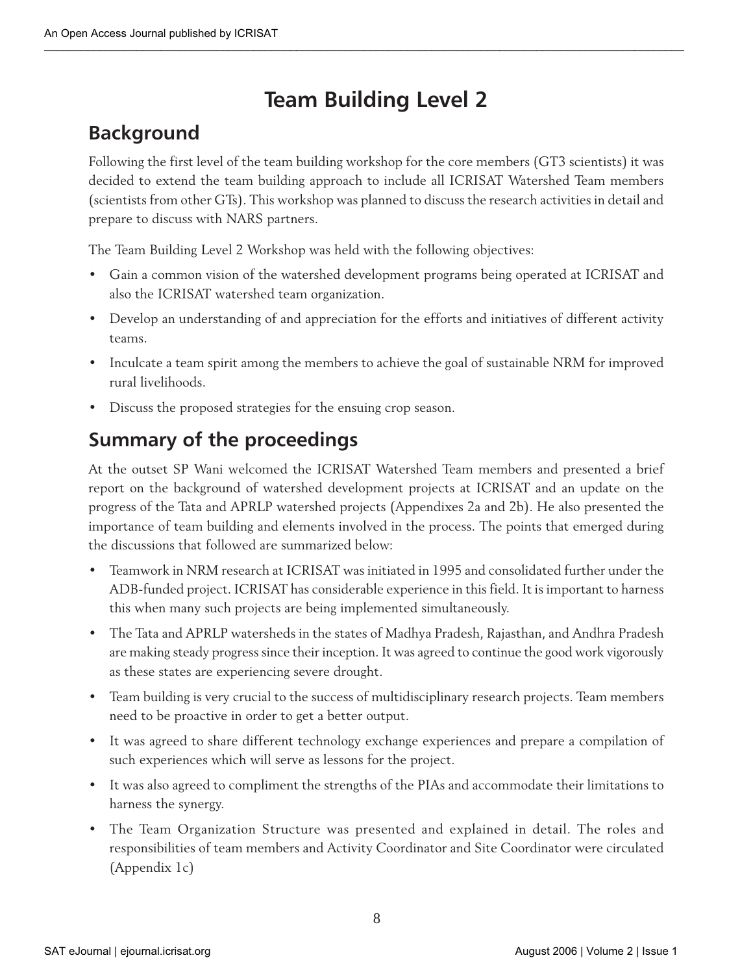# **Team Building Level 2**

# **Background**

Following the first level of the team building workshop for the core members (GT3 scientists) it was decided to extend the team building approach to include all ICRISAT Watershed Team members (scientists from other GTs). This workshop was planned to discuss the research activities in detail and prepare to discuss with NARS partners.

The Team Building Level 2 Workshop was held with the following objectives:

- **•** Gain a common vision of the watershed development programs being operated at ICRISAT and also the ICRISAT watershed team organization.
- **•** Develop an understanding of and appreciation for the efforts and initiatives of different activity teams.
- **•** Inculcate a team spirit among the members to achieve the goal of sustainable NRM for improved rural livelihoods.
- **•** Discuss the proposed strategies for the ensuing crop season.

# **Summary of the proceedings**

At the outset SP Wani welcomed the ICRISAT Watershed Team members and presented a brief report on the background of watershed development projects at ICRISAT and an update on the progress of the Tata and APRLP watershed projects (Appendixes 2a and 2b). He also presented the importance of team building and elements involved in the process. The points that emerged during the discussions that followed are summarized below:

- **•** Teamwork in NRM research at ICRISAT was initiated in 1995 and consolidated further under the ADB-funded project. ICRISAT has considerable experience in this field. It is important to harness this when many such projects are being implemented simultaneously.
- **•** The Tata and APRLP watersheds in the states of Madhya Pradesh, Rajasthan, and Andhra Pradesh are making steady progress since their inception. It was agreed to continue the good work vigorously as these states are experiencing severe drought.
- **•** Team building is very crucial to the success of multidisciplinary research projects. Team members need to be proactive in order to get a better output.
- **•** It was agreed to share different technology exchange experiences and prepare a compilation of such experiences which will serve as lessons for the project.
- **•** It was also agreed to compliment the strengths of the PIAs and accommodate their limitations to harness the synergy.
- **•** The Team Organization Structure was presented and explained in detail. The roles and responsibilities of team members and Activity Coordinator and Site Coordinator were circulated (Appendix 1c)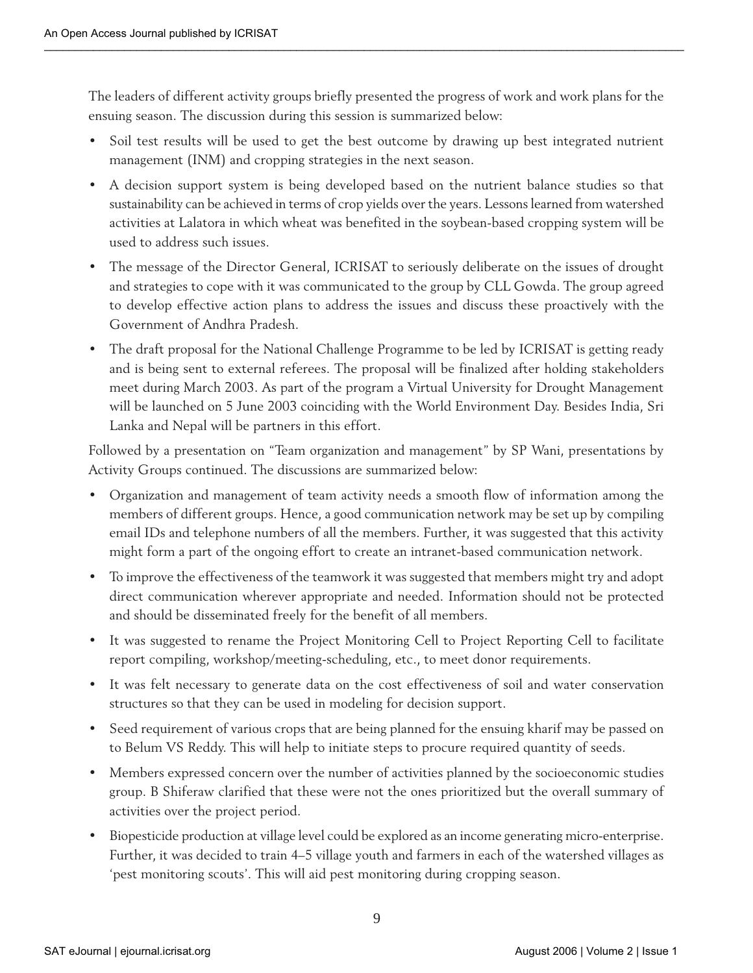The leaders of different activity groups briefly presented the progress of work and work plans for the ensuing season. The discussion during this session is summarized below:

- **•** Soil test results will be used to get the best outcome by drawing up best integrated nutrient management (INM) and cropping strategies in the next season.
- **•** A decision support system is being developed based on the nutrient balance studies so that sustainability can be achieved in terms of crop yields over the years. Lessons learned from watershed activities at Lalatora in which wheat was benefited in the soybean-based cropping system will be used to address such issues.
- The message of the Director General, ICRISAT to seriously deliberate on the issues of drought and strategies to cope with it was communicated to the group by CLL Gowda. The group agreed to develop effective action plans to address the issues and discuss these proactively with the Government of Andhra Pradesh.
- **•** The draft proposal for the National Challenge Programme to be led by ICRISAT is getting ready and is being sent to external referees. The proposal will be finalized after holding stakeholders meet during March 2003. As part of the program a Virtual University for Drought Management will be launched on 5 June 2003 coinciding with the World Environment Day. Besides India, Sri Lanka and Nepal will be partners in this effort.

Followed by a presentation on "Team organization and management" by SP Wani, presentations by Activity Groups continued. The discussions are summarized below:

- **•** Organization and management of team activity needs a smooth flow of information among the members of different groups. Hence, a good communication network may be set up by compiling email IDs and telephone numbers of all the members. Further, it was suggested that this activity might form a part of the ongoing effort to create an intranet-based communication network.
- **•** To improve the effectiveness of the teamwork it was suggested that members might try and adopt direct communication wherever appropriate and needed. Information should not be protected and should be disseminated freely for the benefit of all members.
- **•** It was suggested to rename the Project Monitoring Cell to Project Reporting Cell to facilitate report compiling, workshop/meeting-scheduling, etc., to meet donor requirements.
- **•** It was felt necessary to generate data on the cost effectiveness of soil and water conservation structures so that they can be used in modeling for decision support.
- **•** Seed requirement of various crops that are being planned for the ensuing kharif may be passed on to Belum VS Reddy. This will help to initiate steps to procure required quantity of seeds.
- Members expressed concern over the number of activities planned by the socioeconomic studies group. B Shiferaw clarified that these were not the ones prioritized but the overall summary of activities over the project period.
- **•** Biopesticide production at village level could be explored as an income generating micro-enterprise. Further, it was decided to train 4–5 village youth and farmers in each of the watershed villages as 'pest monitoring scouts'. This will aid pest monitoring during cropping season.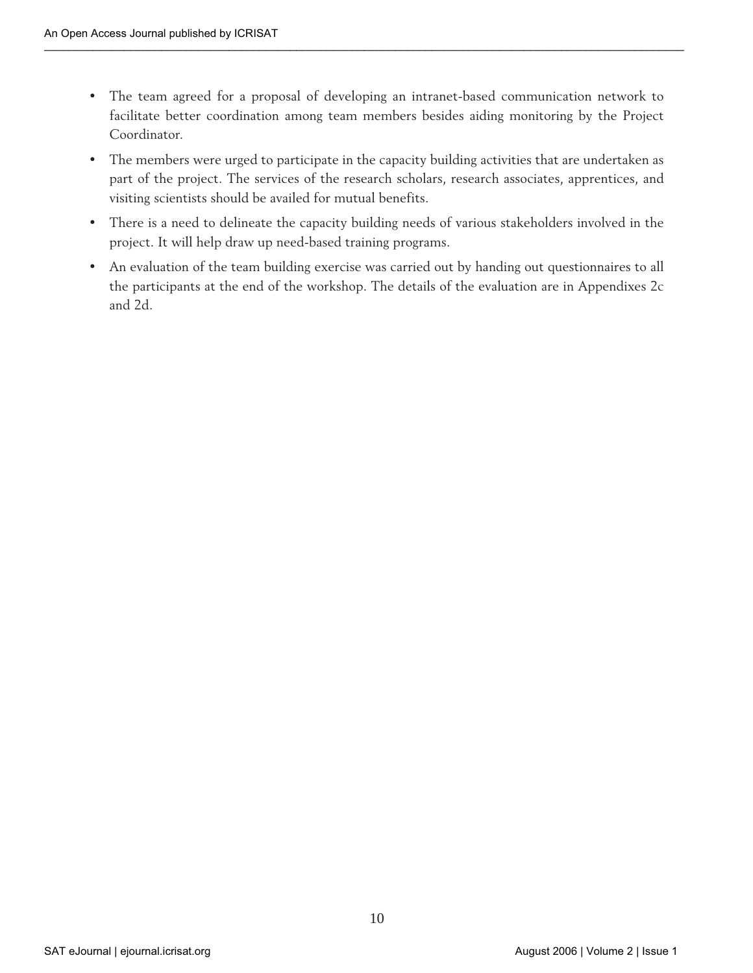- **•** The team agreed for a proposal of developing an intranet-based communication network to facilitate better coordination among team members besides aiding monitoring by the Project Coordinator.
- **•** The members were urged to participate in the capacity building activities that are undertaken as part of the project. The services of the research scholars, research associates, apprentices, and visiting scientists should be availed for mutual benefits.
- **•** There is a need to delineate the capacity building needs of various stakeholders involved in the project. It will help draw up need-based training programs.
- **•** An evaluation of the team building exercise was carried out by handing out questionnaires to all the participants at the end of the workshop. The details of the evaluation are in Appendixes 2c and 2d.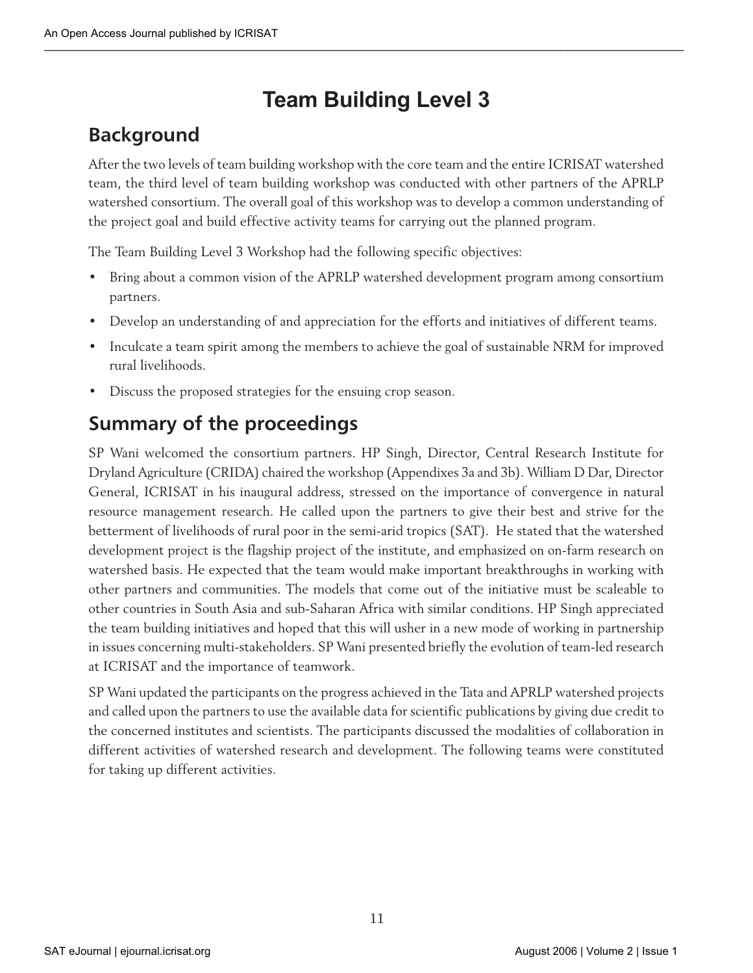# **Team Building Level 3**

# **Background**

After the two levels of team building workshop with the core team and the entire ICRISAT watershed team, the third level of team building workshop was conducted with other partners of the APRLP watershed consortium. The overall goal of this workshop was to develop a common understanding of the project goal and build effective activity teams for carrying out the planned program.

The Team Building Level 3 Workshop had the following specific objectives:

- Bring about a common vision of the APRLP watershed development program among consortium partners.
- Develop an understanding of and appreciation for the efforts and initiatives of different teams.
- Inculcate a team spirit among the members to achieve the goal of sustainable NRM for improved rural livelihoods.
- Discuss the proposed strategies for the ensuing crop season.

# **Summary of the proceedings**

SP Wani welcomed the consortium partners. HP Singh, Director, Central Research Institute for Dryland Agriculture (CRIDA) chaired the workshop (Appendixes 3a and 3b). William D Dar, Director General, ICRISAT in his inaugural address, stressed on the importance of convergence in natural resource management research. He called upon the partners to give their best and strive for the betterment of livelihoods of rural poor in the semi-arid tropics (SAT). He stated that the watershed development project is the flagship project of the institute, and emphasized on on-farm research on watershed basis. He expected that the team would make important breakthroughs in working with other partners and communities. The models that come out of the initiative must be scaleable to other countries in South Asia and sub-Saharan Africa with similar conditions. HP Singh appreciated the team building initiatives and hoped that this will usher in a new mode of working in partnership in issues concerning multi-stakeholders. SP Wani presented briefly the evolution of team-led research at ICRISAT and the importance of teamwork.

SP Wani updated the participants on the progress achieved in the Tata and APRLP watershed projects and called upon the partners to use the available data for scientific publications by giving due credit to the concerned institutes and scientists. The participants discussed the modalities of collaboration in different activities of watershed research and development. The following teams were constituted for taking up different activities.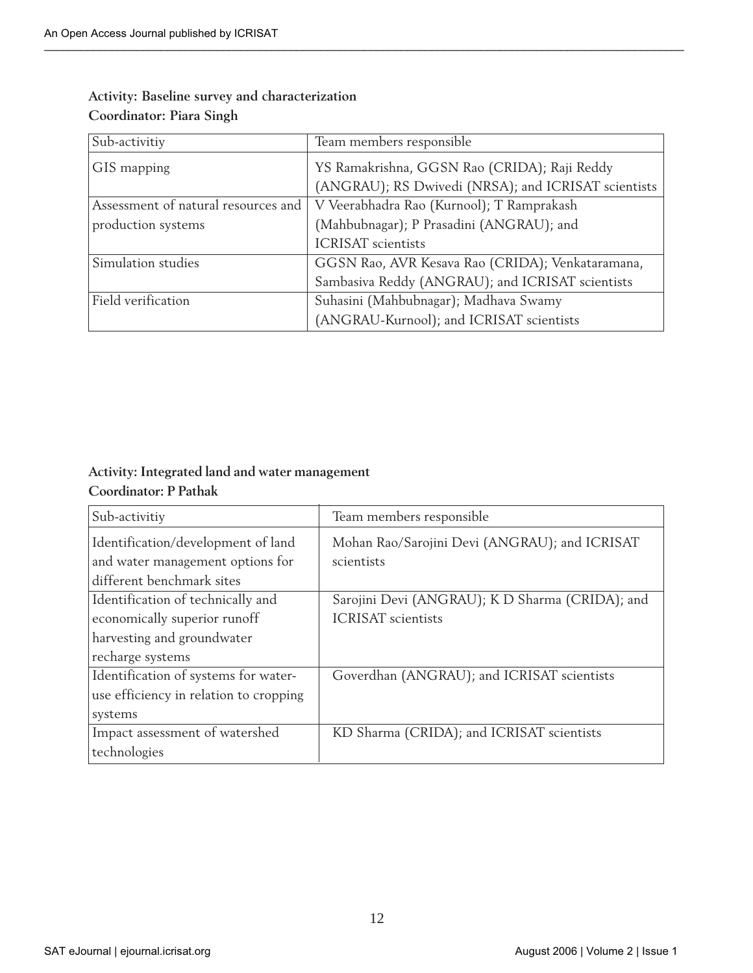| Sub-activitiy                       | Team members responsible                            |
|-------------------------------------|-----------------------------------------------------|
| GIS mapping                         | YS Ramakrishna, GGSN Rao (CRIDA); Raji Reddy        |
|                                     | (ANGRAU); RS Dwivedi (NRSA); and ICRISAT scientists |
| Assessment of natural resources and | V Veerabhadra Rao (Kurnool); T Ramprakash           |
| production systems                  | (Mahbubnagar); P Prasadini (ANGRAU); and            |
|                                     | <b>ICRISAT</b> scientists                           |
| Simulation studies                  | GGSN Rao, AVR Kesava Rao (CRIDA); Venkataramana,    |
|                                     | Sambasiva Reddy (ANGRAU); and ICRISAT scientists    |
| Field verification                  | Suhasini (Mahbubnagar); Madhava Swamy               |
|                                     | (ANGRAU-Kurnool); and ICRISAT scientists            |

### **Activity: Baseline survey and characterization Coordinator: Piara Singh**

### **Activity: Integrated land and water management Coordinator: P Pathak**

| Sub-activitiy                                                                                                       | Team members responsible                                                     |
|---------------------------------------------------------------------------------------------------------------------|------------------------------------------------------------------------------|
| Identification/development of land<br>and water management options for<br>different benchmark sites                 | Mohan Rao/Sarojini Devi (ANGRAU); and ICRISAT<br>scientists                  |
| Identification of technically and<br>economically superior runoff<br>harvesting and groundwater<br>recharge systems | Sarojini Devi (ANGRAU); K D Sharma (CRIDA); and<br><b>ICRISAT</b> scientists |
| Identification of systems for water-<br>use efficiency in relation to cropping<br>systems                           | Goverdhan (ANGRAU); and ICRISAT scientists                                   |
| Impact assessment of watershed<br>technologies                                                                      | KD Sharma (CRIDA); and ICRISAT scientists                                    |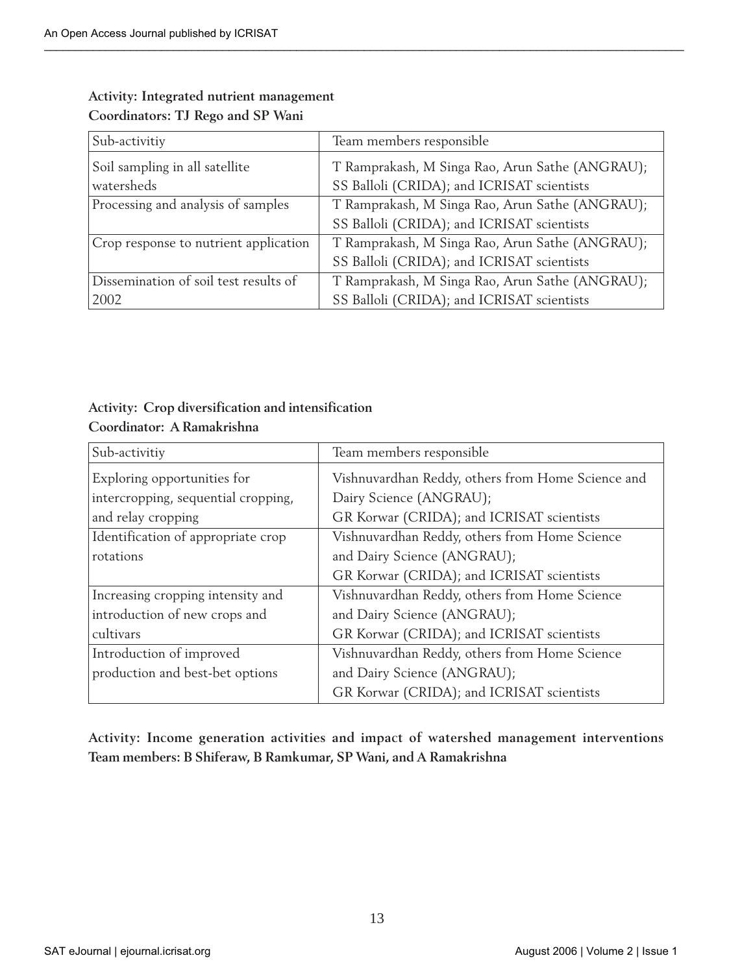| Sub-activitiy                         | Team members responsible                        |
|---------------------------------------|-------------------------------------------------|
| Soil sampling in all satellite        | T Ramprakash, M Singa Rao, Arun Sathe (ANGRAU); |
| watersheds                            | SS Balloli (CRIDA); and ICRISAT scientists      |
| Processing and analysis of samples    | T Ramprakash, M Singa Rao, Arun Sathe (ANGRAU); |
|                                       | SS Balloli (CRIDA); and ICRISAT scientists      |
| Crop response to nutrient application | T Ramprakash, M Singa Rao, Arun Sathe (ANGRAU); |
|                                       | SS Balloli (CRIDA); and ICRISAT scientists      |
| Dissemination of soil test results of | T Ramprakash, M Singa Rao, Arun Sathe (ANGRAU); |
| 2002                                  | SS Balloli (CRIDA); and ICRISAT scientists      |

#### **Activity: Integrated nutrient management Coordinators: TJ Rego and SP Wani**

### **Activity: Crop diversification and intensification Coordinator: A Ramakrishna**

| Sub-activitiy                       | Team members responsible                          |  |
|-------------------------------------|---------------------------------------------------|--|
| Exploring opportunities for         | Vishnuvardhan Reddy, others from Home Science and |  |
| intercropping, sequential cropping, | Dairy Science (ANGRAU);                           |  |
| and relay cropping                  | GR Korwar (CRIDA); and ICRISAT scientists         |  |
| Identification of appropriate crop  | Vishnuvardhan Reddy, others from Home Science     |  |
| rotations                           | and Dairy Science (ANGRAU);                       |  |
|                                     | GR Korwar (CRIDA); and ICRISAT scientists         |  |
| Increasing cropping intensity and   | Vishnuvardhan Reddy, others from Home Science     |  |
| introduction of new crops and       | and Dairy Science (ANGRAU);                       |  |
| cultivars                           | GR Korwar (CRIDA); and ICRISAT scientists         |  |
| Introduction of improved            | Vishnuvardhan Reddy, others from Home Science     |  |
| production and best-bet options     | and Dairy Science (ANGRAU);                       |  |
|                                     | GR Korwar (CRIDA); and ICRISAT scientists         |  |

**Activity: Income generation activities and impact of watershed management interventions Team members: B Shiferaw, B Ramkumar, SP Wani, and A Ramakrishna**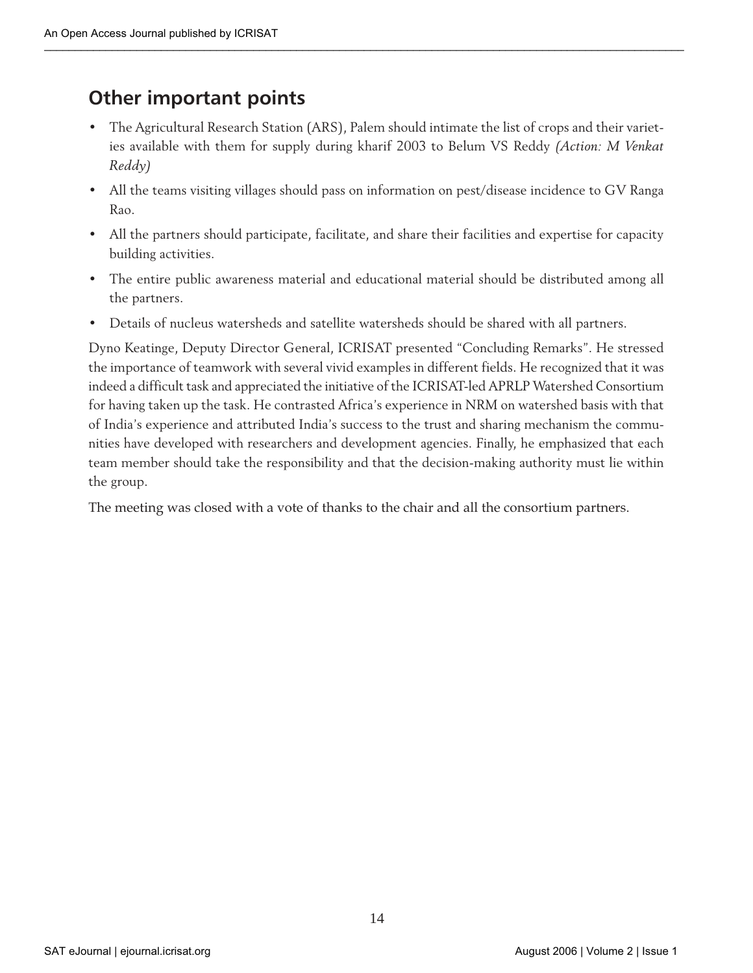### **Other important points**

- The Agricultural Research Station (ARS), Palem should intimate the list of crops and their varieties available with them for supply during kharif 2003 to Belum VS Reddy *(Action: M Venkat Reddy)*
- All the teams visiting villages should pass on information on pest/disease incidence to GV Ranga Rao.
- All the partners should participate, facilitate, and share their facilities and expertise for capacity building activities.
- The entire public awareness material and educational material should be distributed among all the partners.
- Details of nucleus watersheds and satellite watersheds should be shared with all partners.

Dyno Keatinge, Deputy Director General, ICRISAT presented "Concluding Remarks". He stressed the importance of teamwork with several vivid examples in different fields. He recognized that it was indeed a difficult task and appreciated the initiative of the ICRISAT-led APRLP Watershed Consortium for having taken up the task. He contrasted Africa's experience in NRM on watershed basis with that of India's experience and attributed India's success to the trust and sharing mechanism the communities have developed with researchers and development agencies. Finally, he emphasized that each team member should take the responsibility and that the decision-making authority must lie within the group.

The meeting was closed with a vote of thanks to the chair and all the consortium partners.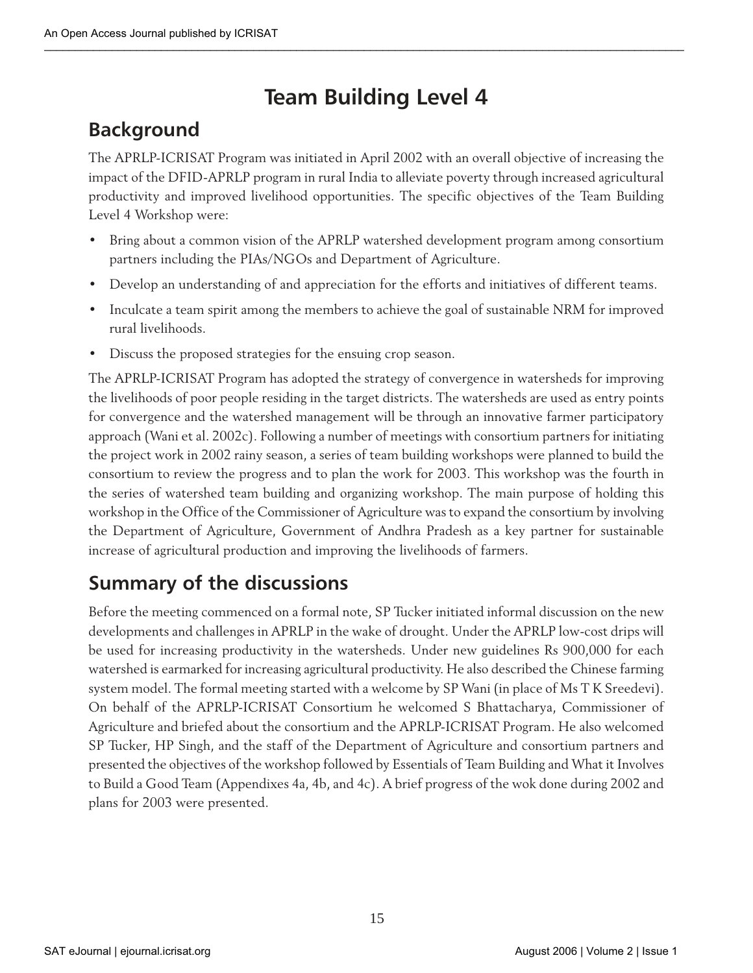# **Team Building Level 4**

### **Background**

The APRLP-ICRISAT Program was initiated in April 2002 with an overall objective of increasing the impact of the DFID-APRLP program in rural India to alleviate poverty through increased agricultural productivity and improved livelihood opportunities. The specific objectives of the Team Building Level 4 Workshop were:

- Bring about a common vision of the APRLP watershed development program among consortium partners including the PIAs/NGOs and Department of Agriculture.
- Develop an understanding of and appreciation for the efforts and initiatives of different teams.
- Inculcate a team spirit among the members to achieve the goal of sustainable NRM for improved rural livelihoods.
- Discuss the proposed strategies for the ensuing crop season.

The APRLP-ICRISAT Program has adopted the strategy of convergence in watersheds for improving the livelihoods of poor people residing in the target districts. The watersheds are used as entry points for convergence and the watershed management will be through an innovative farmer participatory approach (Wani et al. 2002c). Following a number of meetings with consortium partners for initiating the project work in 2002 rainy season, a series of team building workshops were planned to build the consortium to review the progress and to plan the work for 2003. This workshop was the fourth in the series of watershed team building and organizing workshop. The main purpose of holding this workshop in the Office of the Commissioner of Agriculture was to expand the consortium by involving the Department of Agriculture, Government of Andhra Pradesh as a key partner for sustainable increase of agricultural production and improving the livelihoods of farmers.

### **Summary of the discussions**

Before the meeting commenced on a formal note, SP Tucker initiated informal discussion on the new developments and challenges in APRLP in the wake of drought. Under the APRLP low-cost drips will be used for increasing productivity in the watersheds. Under new guidelines Rs 900,000 for each watershed is earmarked for increasing agricultural productivity. He also described the Chinese farming system model. The formal meeting started with a welcome by SP Wani (in place of Ms T K Sreedevi). On behalf of the APRLP-ICRISAT Consortium he welcomed S Bhattacharya, Commissioner of Agriculture and briefed about the consortium and the APRLP-ICRISAT Program. He also welcomed SP Tucker, HP Singh, and the staff of the Department of Agriculture and consortium partners and presented the objectives of the workshop followed by Essentials of Team Building and What it Involves to Build a Good Team (Appendixes 4a, 4b, and 4c). A brief progress of the wok done during 2002 and plans for 2003 were presented.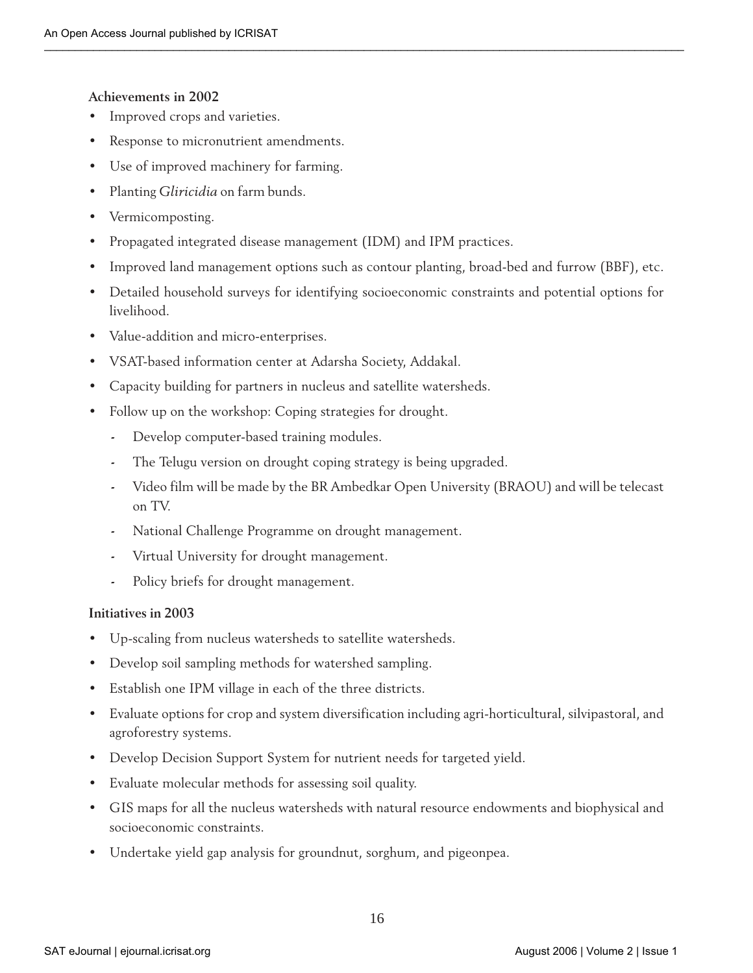#### **Achievements in 2002**

- Improved crops and varieties.
- Response to micronutrient amendments.
- Use of improved machinery for farming.
- Planting *Gliricidia* on farm bunds.
- Vermicomposting.
- Propagated integrated disease management (IDM) and IPM practices.
- Improved land management options such as contour planting, broad-bed and furrow (BBF), etc.
- Detailed household surveys for identifying socioeconomic constraints and potential options for livelihood.
- Value-addition and micro-enterprises.
- VSAT-based information center at Adarsha Society, Addakal.
- Capacity building for partners in nucleus and satellite watersheds.
- Follow up on the workshop: Coping strategies for drought.
	- **-** Develop computer-based training modules.
	- **-** The Telugu version on drought coping strategy is being upgraded.
	- **-** Video film will be made by the BR Ambedkar Open University (BRAOU) and will be telecast on TV.
	- **-** National Challenge Programme on drought management.
	- **-** Virtual University for drought management.
	- **-** Policy briefs for drought management.

#### **Initiatives in 2003**

- Up-scaling from nucleus watersheds to satellite watersheds.
- Develop soil sampling methods for watershed sampling.
- Establish one IPM village in each of the three districts.
- Evaluate options for crop and system diversification including agri-horticultural, silvipastoral, and agroforestry systems.
- Develop Decision Support System for nutrient needs for targeted yield.
- Evaluate molecular methods for assessing soil quality.
- GIS maps for all the nucleus watersheds with natural resource endowments and biophysical and socioeconomic constraints.
- Undertake yield gap analysis for groundnut, sorghum, and pigeonpea.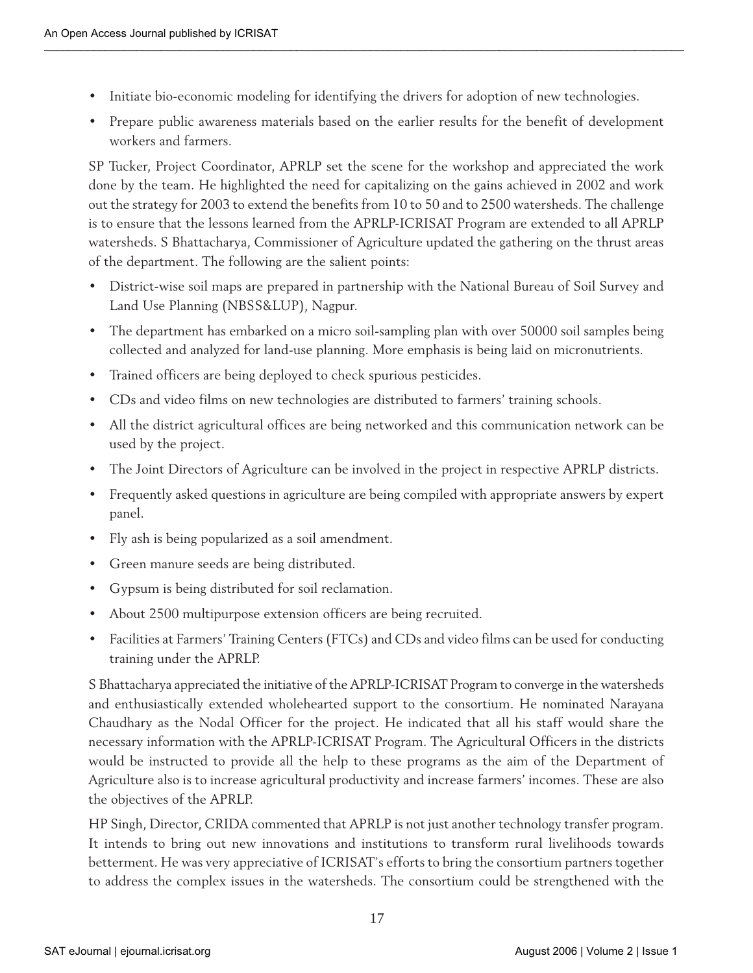- Initiate bio-economic modeling for identifying the drivers for adoption of new technologies.
- Prepare public awareness materials based on the earlier results for the benefit of development workers and farmers.

SP Tucker, Project Coordinator, APRLP set the scene for the workshop and appreciated the work done by the team. He highlighted the need for capitalizing on the gains achieved in 2002 and work out the strategy for 2003 to extend the benefits from 10 to 50 and to 2500 watersheds. The challenge is to ensure that the lessons learned from the APRLP-ICRISAT Program are extended to all APRLP watersheds. S Bhattacharya, Commissioner of Agriculture updated the gathering on the thrust areas of the department. The following are the salient points:

- District-wise soil maps are prepared in partnership with the National Bureau of Soil Survey and Land Use Planning (NBSS&LUP), Nagpur.
- The department has embarked on a micro soil-sampling plan with over 50000 soil samples being collected and analyzed for land-use planning. More emphasis is being laid on micronutrients.
- Trained officers are being deployed to check spurious pesticides.
- CDs and video films on new technologies are distributed to farmers' training schools.
- All the district agricultural offices are being networked and this communication network can be used by the project.
- The Joint Directors of Agriculture can be involved in the project in respective APRLP districts.
- Frequently asked questions in agriculture are being compiled with appropriate answers by expert panel.
- Fly ash is being popularized as a soil amendment.
- Green manure seeds are being distributed.
- Gypsum is being distributed for soil reclamation.
- About 2500 multipurpose extension officers are being recruited.
- Facilities at Farmers' Training Centers (FTCs) and CDs and video films can be used for conducting training under the APRLP.

S Bhattacharya appreciated the initiative of the APRLP-ICRISAT Program to converge in the watersheds and enthusiastically extended wholehearted support to the consortium. He nominated Narayana Chaudhary as the Nodal Officer for the project. He indicated that all his staff would share the necessary information with the APRLP-ICRISAT Program. The Agricultural Officers in the districts would be instructed to provide all the help to these programs as the aim of the Department of Agriculture also is to increase agricultural productivity and increase farmers' incomes. These are also the objectives of the APRLP.

HP Singh, Director, CRIDA commented that APRLP is not just another technology transfer program. It intends to bring out new innovations and institutions to transform rural livelihoods towards betterment. He was very appreciative of ICRISAT's efforts to bring the consortium partners together to address the complex issues in the watersheds. The consortium could be strengthened with the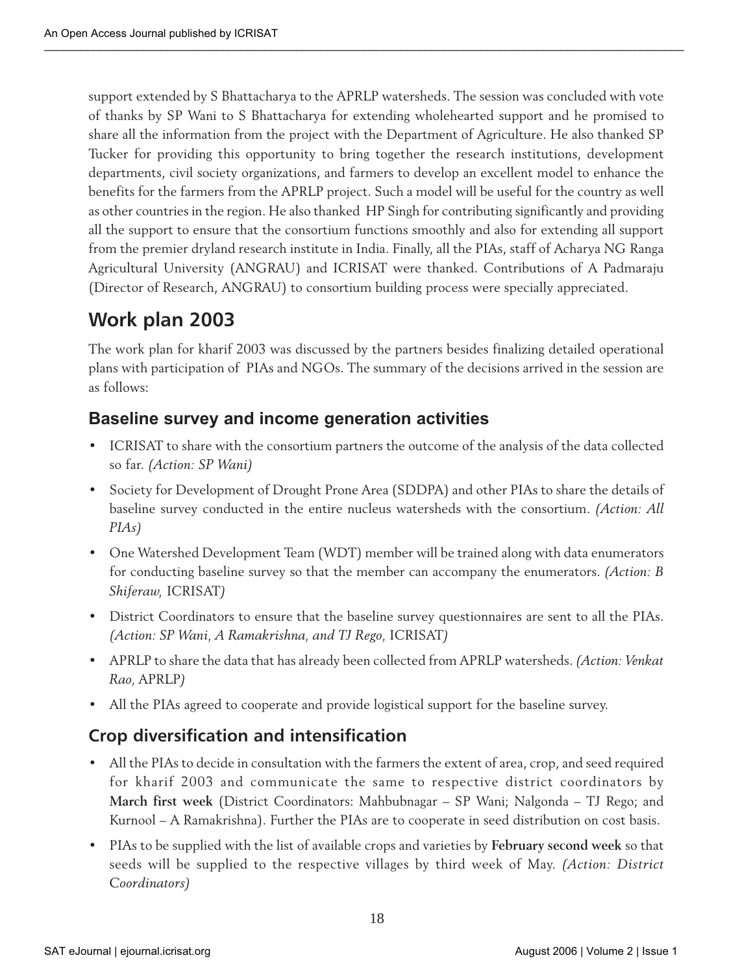support extended by S Bhattacharya to the APRLP watersheds. The session was concluded with vote of thanks by SP Wani to S Bhattacharya for extending wholehearted support and he promised to share all the information from the project with the Department of Agriculture. He also thanked SP Tucker for providing this opportunity to bring together the research institutions, development departments, civil society organizations, and farmers to develop an excellent model to enhance the benefits for the farmers from the APRLP project. Such a model will be useful for the country as well as other countries in the region. He also thanked HP Singh for contributing significantly and providing all the support to ensure that the consortium functions smoothly and also for extending all support from the premier dryland research institute in India. Finally, all the PIAs, staff of Acharya NG Ranga Agricultural University (ANGRAU) and ICRISAT were thanked. Contributions of A Padmaraju (Director of Research, ANGRAU) to consortium building process were specially appreciated.

# **Work plan 2003**

The work plan for kharif 2003 was discussed by the partners besides finalizing detailed operational plans with participation of PIAs and NGOs. The summary of the decisions arrived in the session are as follows:

### **Baseline survey and income generation activities**

- ICRISAT to share with the consortium partners the outcome of the analysis of the data collected so far. *(Action: SP Wani)*
- Society for Development of Drought Prone Area (SDDPA) and other PIAs to share the details of baseline survey conducted in the entire nucleus watersheds with the consortium. *(Action: All PIAs)*
- One Watershed Development Team (WDT) member will be trained along with data enumerators for conducting baseline survey so that the member can accompany the enumerators. *(Action: B Shiferaw,* ICRISAT*)*
- District Coordinators to ensure that the baseline survey questionnaires are sent to all the PIAs. *(Action: SP Wani, A Ramakrishna, and TJ Rego,* ICRISAT*)*
- APRLP to share the data that has already been collected from APRLP watersheds. *(Action: Venkat Rao,* APRLP*)*
- All the PIAs agreed to cooperate and provide logistical support for the baseline survey.

### **Crop diversification and intensification**

- All the PIAs to decide in consultation with the farmers the extent of area, crop, and seed required for kharif 2003 and communicate the same to respective district coordinators by **March first week** (District Coordinators: Mahbubnagar – SP Wani; Nalgonda – TJ Rego; and Kurnool – A Ramakrishna). Further the PIAs are to cooperate in seed distribution on cost basis.
- PIAs to be supplied with the list of available crops and varieties by **February second week** so that seeds will be supplied to the respective villages by third week of May. *(Action: District Coordinators)*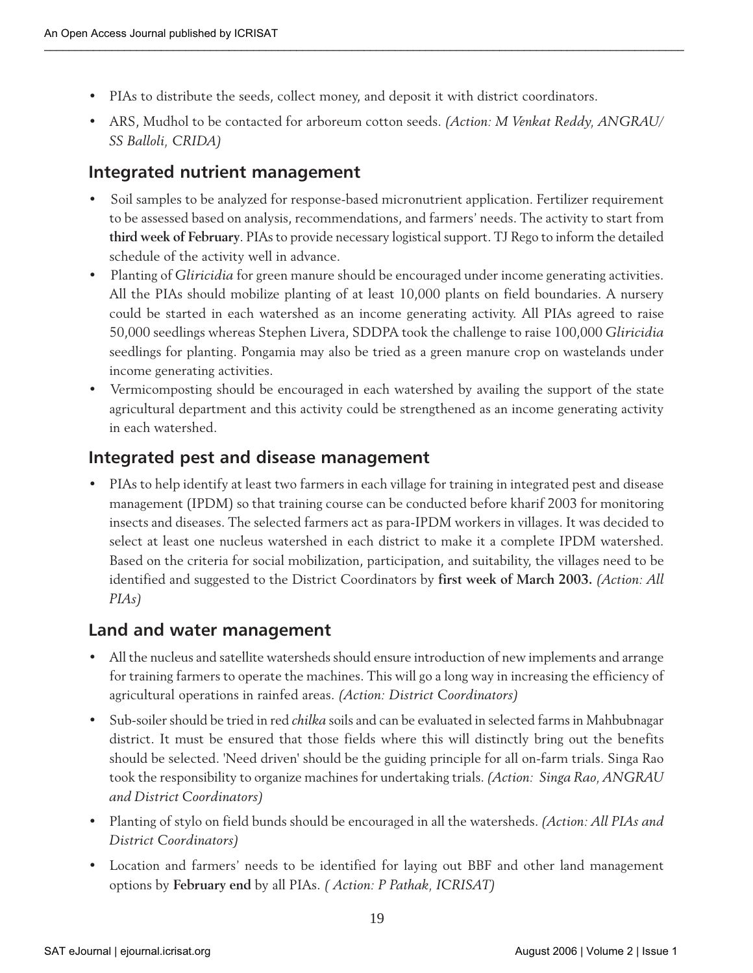- PIAs to distribute the seeds, collect money, and deposit it with district coordinators.
- ARS, Mudhol to be contacted for arboreum cotton seeds. *(Action: M Venkat Reddy, ANGRAU/ SS Balloli, CRIDA)*

### **Integrated nutrient management**

- Soil samples to be analyzed for response-based micronutrient application. Fertilizer requirement to be assessed based on analysis, recommendations, and farmers' needs. The activity to start from **third week of February**. PIAs to provide necessary logistical support. TJ Rego to inform the detailed schedule of the activity well in advance.
- Planting of *Gliricidia* for green manure should be encouraged under income generating activities. All the PIAs should mobilize planting of at least 10,000 plants on field boundaries. A nursery could be started in each watershed as an income generating activity. All PIAs agreed to raise 50,000 seedlings whereas Stephen Livera, SDDPA took the challenge to raise 100,000 *Gliricidia* seedlings for planting. Pongamia may also be tried as a green manure crop on wastelands under income generating activities.
- Vermicomposting should be encouraged in each watershed by availing the support of the state agricultural department and this activity could be strengthened as an income generating activity in each watershed.

### **Integrated pest and disease management**

• PIAs to help identify at least two farmers in each village for training in integrated pest and disease management (IPDM) so that training course can be conducted before kharif 2003 for monitoring insects and diseases. The selected farmers act as para-IPDM workers in villages. It was decided to select at least one nucleus watershed in each district to make it a complete IPDM watershed. Based on the criteria for social mobilization, participation, and suitability, the villages need to be identified and suggested to the District Coordinators by **first week of March 2003.** *(Action: All PIAs)*

### **Land and water management**

- All the nucleus and satellite watersheds should ensure introduction of new implements and arrange for training farmers to operate the machines. This will go a long way in increasing the efficiency of agricultural operations in rainfed areas. *(Action: District Coordinators)*
- Sub-soiler should be tried in red *chilka* soils and can be evaluated in selected farms in Mahbubnagar district. It must be ensured that those fields where this will distinctly bring out the benefits should be selected. 'Need driven' should be the guiding principle for all on-farm trials. Singa Rao took the responsibility to organize machines for undertaking trials. *(Action: Singa Rao, ANGRAU and District Coordinators)*
- Planting of stylo on field bunds should be encouraged in all the watersheds. *(Action: All PIAs and District Coordinators)*
- Location and farmers' needs to be identified for laying out BBF and other land management options by **February end** by all PIAs. *( Action: P Pathak, ICRISAT)*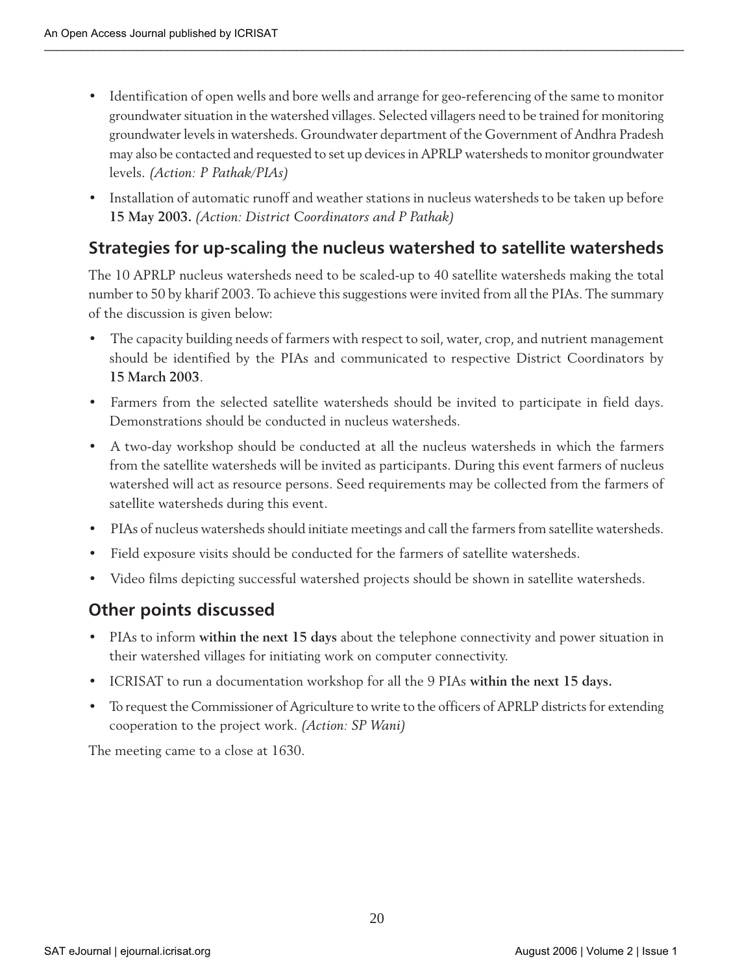- Identification of open wells and bore wells and arrange for geo-referencing of the same to monitor groundwater situation in the watershed villages. Selected villagers need to be trained for monitoring groundwater levels in watersheds. Groundwater department of the Government of Andhra Pradesh may also be contacted and requested to set up devices in APRLP watersheds to monitor groundwater levels. *(Action: P Pathak/PIAs)*
- Installation of automatic runoff and weather stations in nucleus watersheds to be taken up before **15 May 2003.** *(Action: District Coordinators and P Pathak)*

### **Strategies for up-scaling the nucleus watershed to satellite watersheds**

The 10 APRLP nucleus watersheds need to be scaled-up to 40 satellite watersheds making the total number to 50 by kharif 2003. To achieve this suggestions were invited from all the PIAs. The summary of the discussion is given below:

- The capacity building needs of farmers with respect to soil, water, crop, and nutrient management should be identified by the PIAs and communicated to respective District Coordinators by **15 March 2003**.
- Farmers from the selected satellite watersheds should be invited to participate in field days. Demonstrations should be conducted in nucleus watersheds.
- A two-day workshop should be conducted at all the nucleus watersheds in which the farmers from the satellite watersheds will be invited as participants. During this event farmers of nucleus watershed will act as resource persons. Seed requirements may be collected from the farmers of satellite watersheds during this event.
- PIAs of nucleus watersheds should initiate meetings and call the farmers from satellite watersheds.
- Field exposure visits should be conducted for the farmers of satellite watersheds.
- Video films depicting successful watershed projects should be shown in satellite watersheds.

### **Other points discussed**

- PIAs to inform **within the next 15 days** about the telephone connectivity and power situation in their watershed villages for initiating work on computer connectivity.
- ICRISAT to run a documentation workshop for all the 9 PIAs **within the next 15 days.**
- To request the Commissioner of Agriculture to write to the officers of APRLP districts for extending cooperation to the project work. *(Action: SP Wani)*

The meeting came to a close at 1630.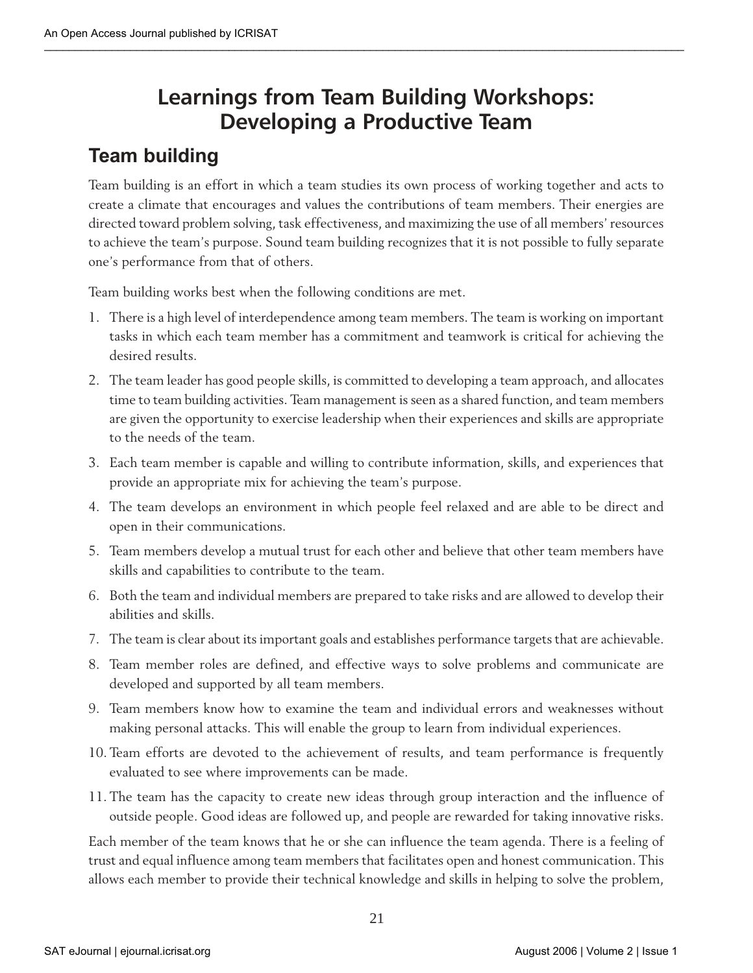# **Learnings from Team Building Workshops: Developing a Productive Team**

### **Team building**

Team building is an effort in which a team studies its own process of working together and acts to create a climate that encourages and values the contributions of team members. Their energies are directed toward problem solving, task effectiveness, and maximizing the use of all members' resources to achieve the team's purpose. Sound team building recognizes that it is not possible to fully separate one's performance from that of others.

Team building works best when the following conditions are met.

- 1. There is a high level of interdependence among team members. The team is working on important tasks in which each team member has a commitment and teamwork is critical for achieving the desired results.
- 2. The team leader has good people skills, is committed to developing a team approach, and allocates time to team building activities. Team management is seen as a shared function, and team members are given the opportunity to exercise leadership when their experiences and skills are appropriate to the needs of the team.
- 3. Each team member is capable and willing to contribute information, skills, and experiences that provide an appropriate mix for achieving the team's purpose.
- 4. The team develops an environment in which people feel relaxed and are able to be direct and open in their communications.
- 5. Team members develop a mutual trust for each other and believe that other team members have skills and capabilities to contribute to the team.
- 6. Both the team and individual members are prepared to take risks and are allowed to develop their abilities and skills.
- 7. The team is clear about its important goals and establishes performance targets that are achievable.
- 8. Team member roles are defined, and effective ways to solve problems and communicate are developed and supported by all team members.
- 9. Team members know how to examine the team and individual errors and weaknesses without making personal attacks. This will enable the group to learn from individual experiences.
- 10. Team efforts are devoted to the achievement of results, and team performance is frequently evaluated to see where improvements can be made.
- 11. The team has the capacity to create new ideas through group interaction and the influence of outside people. Good ideas are followed up, and people are rewarded for taking innovative risks.

Each member of the team knows that he or she can influence the team agenda. There is a feeling of trust and equal influence among team members that facilitates open and honest communication. This allows each member to provide their technical knowledge and skills in helping to solve the problem,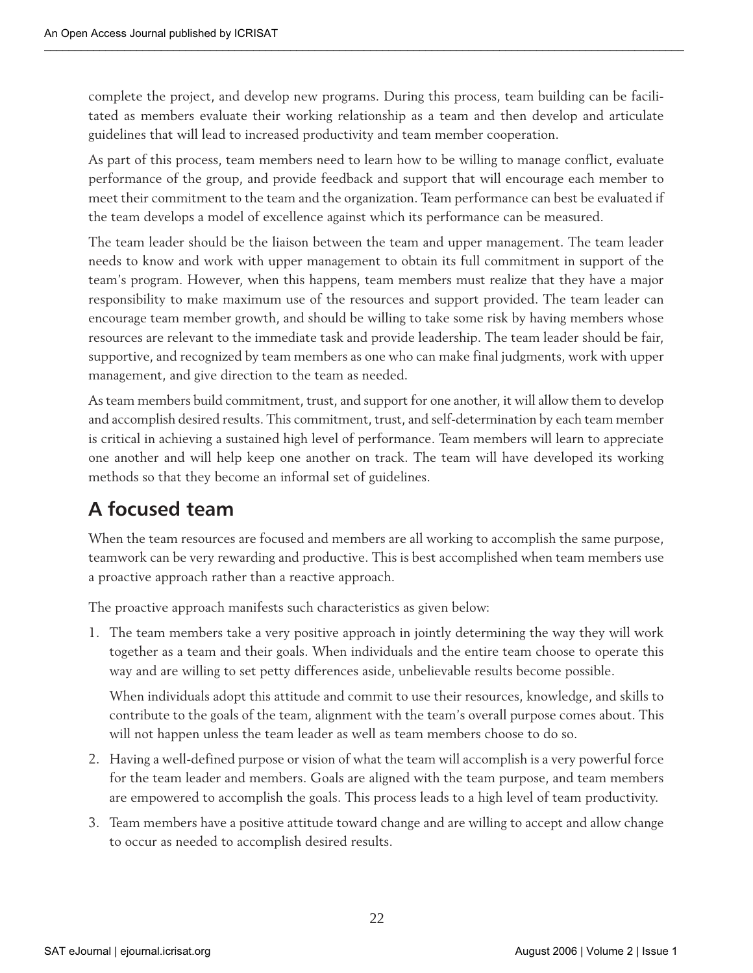complete the project, and develop new programs. During this process, team building can be facilitated as members evaluate their working relationship as a team and then develop and articulate guidelines that will lead to increased productivity and team member cooperation.

As part of this process, team members need to learn how to be willing to manage conflict, evaluate performance of the group, and provide feedback and support that will encourage each member to meet their commitment to the team and the organization. Team performance can best be evaluated if the team develops a model of excellence against which its performance can be measured.

The team leader should be the liaison between the team and upper management. The team leader needs to know and work with upper management to obtain its full commitment in support of the team's program. However, when this happens, team members must realize that they have a major responsibility to make maximum use of the resources and support provided. The team leader can encourage team member growth, and should be willing to take some risk by having members whose resources are relevant to the immediate task and provide leadership. The team leader should be fair, supportive, and recognized by team members as one who can make final judgments, work with upper management, and give direction to the team as needed.

As team members build commitment, trust, and support for one another, it will allow them to develop and accomplish desired results. This commitment, trust, and self-determination by each team member is critical in achieving a sustained high level of performance. Team members will learn to appreciate one another and will help keep one another on track. The team will have developed its working methods so that they become an informal set of guidelines.

### **A focused team**

When the team resources are focused and members are all working to accomplish the same purpose, teamwork can be very rewarding and productive. This is best accomplished when team members use a proactive approach rather than a reactive approach.

The proactive approach manifests such characteristics as given below:

1. The team members take a very positive approach in jointly determining the way they will work together as a team and their goals. When individuals and the entire team choose to operate this way and are willing to set petty differences aside, unbelievable results become possible.

When individuals adopt this attitude and commit to use their resources, knowledge, and skills to contribute to the goals of the team, alignment with the team's overall purpose comes about. This will not happen unless the team leader as well as team members choose to do so.

- 2. Having a well-defined purpose or vision of what the team will accomplish is a very powerful force for the team leader and members. Goals are aligned with the team purpose, and team members are empowered to accomplish the goals. This process leads to a high level of team productivity.
- 3. Team members have a positive attitude toward change and are willing to accept and allow change to occur as needed to accomplish desired results.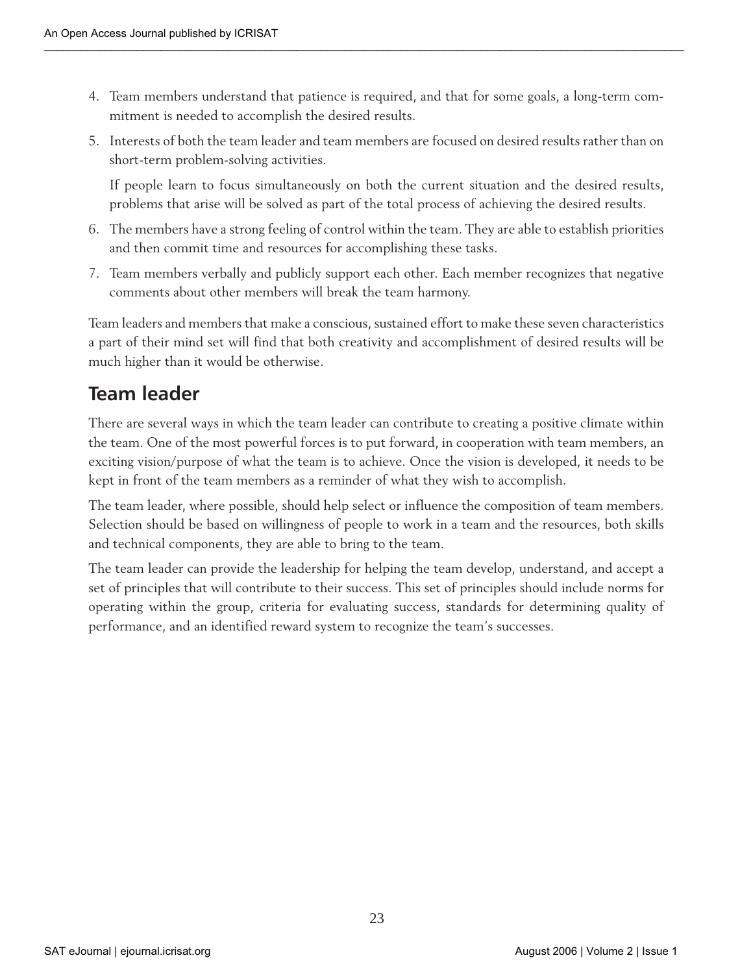- 4. Team members understand that patience is required, and that for some goals, a long-term commitment is needed to accomplish the desired results.
- 5. Interests of both the team leader and team members are focused on desired results rather than on short-term problem-solving activities.

If people learn to focus simultaneously on both the current situation and the desired results, problems that arise will be solved as part of the total process of achieving the desired results.

- 6. The members have a strong feeling of control within the team. They are able to establish priorities and then commit time and resources for accomplishing these tasks.
- 7. Team members verbally and publicly support each other. Each member recognizes that negative comments about other members will break the team harmony.

Team leaders and members that make a conscious, sustained effort to make these seven characteristics a part of their mind set will find that both creativity and accomplishment of desired results will be much higher than it would be otherwise.

### **Team leader**

There are several ways in which the team leader can contribute to creating a positive climate within the team. One of the most powerful forces is to put forward, in cooperation with team members, an exciting vision/purpose of what the team is to achieve. Once the vision is developed, it needs to be kept in front of the team members as a reminder of what they wish to accomplish.

The team leader, where possible, should help select or influence the composition of team members. Selection should be based on willingness of people to work in a team and the resources, both skills and technical components, they are able to bring to the team.

The team leader can provide the leadership for helping the team develop, understand, and accept a set of principles that will contribute to their success. This set of principles should include norms for operating within the group, criteria for evaluating success, standards for determining quality of performance, and an identified reward system to recognize the team's successes.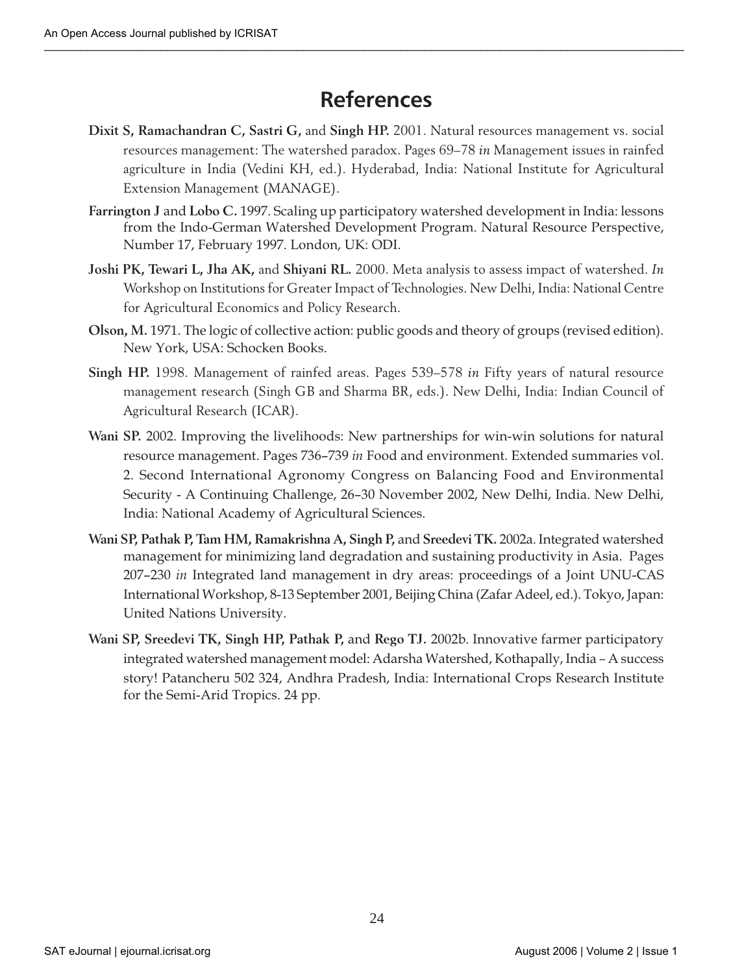# **References**

- **Dixit S, Ramachandran C, Sastri G,** and **Singh HP.** 2001. Natural resources management vs. social resources management: The watershed paradox. Pages 69–78 *in* Management issues in rainfed agriculture in India (Vedini KH, ed.). Hyderabad, India: National Institute for Agricultural Extension Management (MANAGE).
- **Farrington J** and **Lobo C.** 1997. Scaling up participatory watershed development in India: lessons from the Indo-German Watershed Development Program. Natural Resource Perspective, Number 17, February 1997. London, UK: ODI.
- **Joshi PK, Tewari L, Jha AK,** and **Shiyani RL.** 2000. Meta analysis to assess impact of watershed. *In* Workshop on Institutions for Greater Impact of Technologies. New Delhi, India: National Centre for Agricultural Economics and Policy Research.
- **Olson, M.** 1971. The logic of collective action: public goods and theory of groups (revised edition). New York, USA: Schocken Books.
- **Singh HP.** 1998. Management of rainfed areas. Pages 539–578 *in* Fifty years of natural resource management research (Singh GB and Sharma BR, eds.). New Delhi, India: Indian Council of Agricultural Research (ICAR).
- **Wani SP.** 2002. Improving the livelihoods: New partnerships for win-win solutions for natural resource management. Pages 736–739 *in* Food and environment. Extended summaries vol. 2. Second International Agronomy Congress on Balancing Food and Environmental Security - A Continuing Challenge, 26–30 November 2002, New Delhi, India. New Delhi, India: National Academy of Agricultural Sciences.
- **Wani SP, Pathak P, Tam HM, Ramakrishna A, Singh P,** and **Sreedevi TK.** 2002a. Integrated watershed management for minimizing land degradation and sustaining productivity in Asia. Pages 207–230 *in* Integrated land management in dry areas: proceedings of a Joint UNU-CAS International Workshop, 8-13 September 2001, Beijing China (Zafar Adeel, ed.). Tokyo, Japan: United Nations University.
- **Wani SP, Sreedevi TK, Singh HP, Pathak P,** and **Rego TJ.** 2002b. Innovative farmer participatory integrated watershed management model: Adarsha Watershed, Kothapally, India *–* A success story! Patancheru 502 324, Andhra Pradesh, India: International Crops Research Institute for the Semi-Arid Tropics. 24 pp.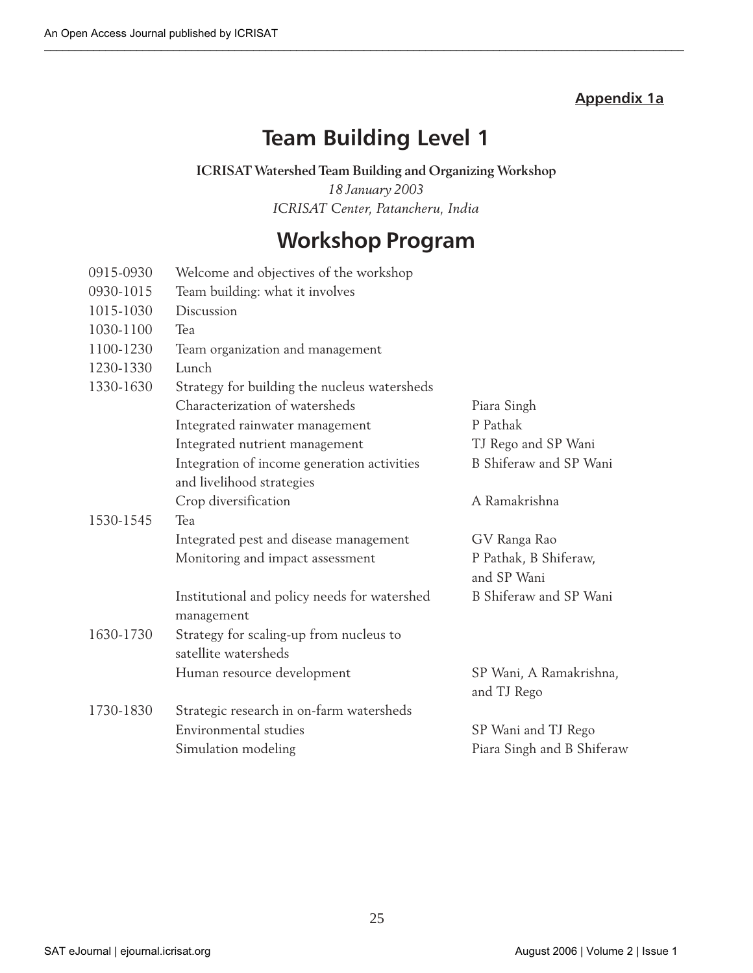### **Appendix 1a**

# **Team Building Level 1**

#### **ICRISAT Watershed Team Building and Organizing Workshop**

*18 January 2003 ICRISAT Center, Patancheru, India*

# **Workshop Program**

| 0915-0930 | Welcome and objectives of the workshop                     |                                        |
|-----------|------------------------------------------------------------|----------------------------------------|
| 0930-1015 | Team building: what it involves                            |                                        |
| 1015-1030 | Discussion                                                 |                                        |
| 1030-1100 | Tea                                                        |                                        |
| 1100-1230 | Team organization and management                           |                                        |
| 1230-1330 | Lunch                                                      |                                        |
| 1330-1630 | Strategy for building the nucleus watersheds               |                                        |
|           | Characterization of watersheds                             | Piara Singh                            |
|           | Integrated rainwater management                            | P Pathak                               |
|           | Integrated nutrient management                             | TJ Rego and SP Wani                    |
|           | Integration of income generation activities                | B Shiferaw and SP Wani                 |
|           | and livelihood strategies                                  |                                        |
|           | Crop diversification                                       | A Ramakrishna                          |
| 1530-1545 | Tea                                                        |                                        |
|           | Integrated pest and disease management                     | GV Ranga Rao                           |
|           | Monitoring and impact assessment                           | P Pathak, B Shiferaw,<br>and SP Wani   |
|           | Institutional and policy needs for watershed<br>management | B Shiferaw and SP Wani                 |
| 1630-1730 | Strategy for scaling-up from nucleus to                    |                                        |
|           | satellite watersheds                                       |                                        |
|           | Human resource development                                 | SP Wani, A Ramakrishna,<br>and TJ Rego |
| 1730-1830 | Strategic research in on-farm watersheds                   |                                        |
|           | Environmental studies                                      | SP Wani and TJ Rego                    |
|           | Simulation modeling                                        | Piara Singh and B Shiferaw             |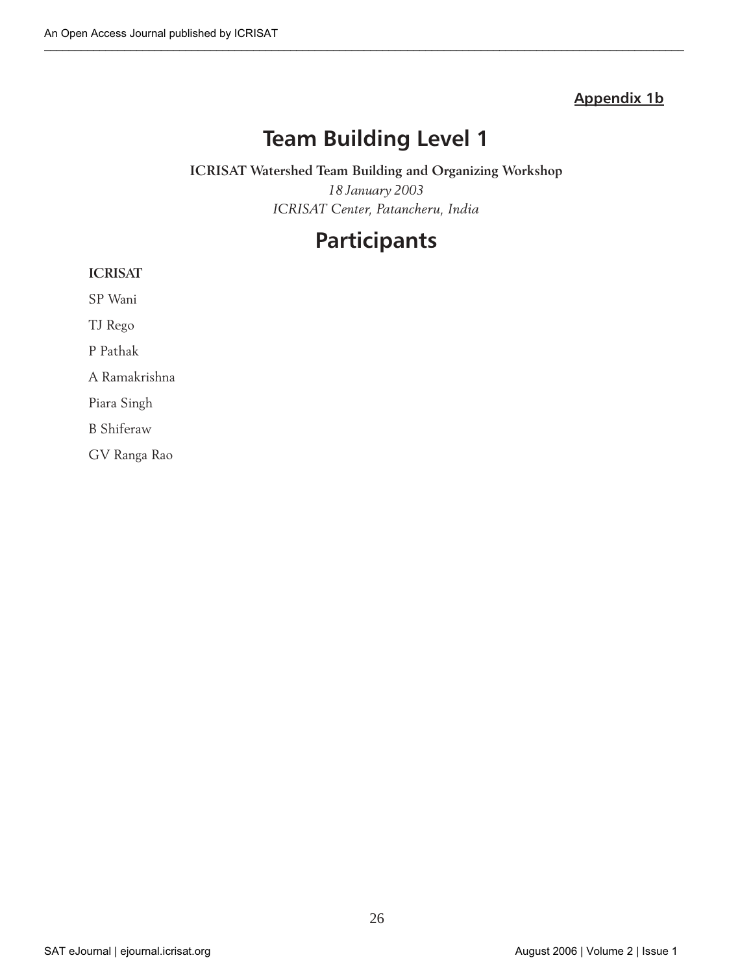### **Appendix 1b**

# **Team Building Level 1**

### **ICRISAT Watershed Team Building and Organizing Workshop** *18 January 2003 ICRISAT Center, Patancheru, India*

# **Participants**

#### **ICRISAT**

SP Wani

TJ Rego

P Pathak

A Ramakrishna

Piara Singh

B Shiferaw

GV Ranga Rao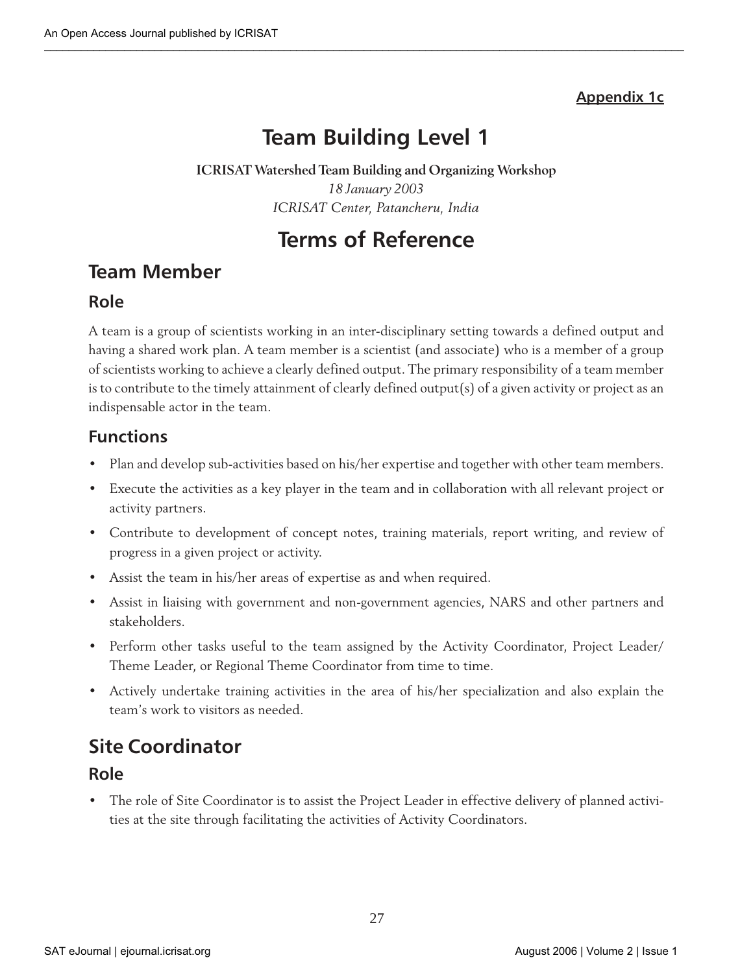### **Appendix 1c**

# **Team Building Level 1**

### **ICRISAT Watershed Team Building and Organizing Workshop** *18 January 2003 ICRISAT Center, Patancheru, India*

# **Terms of Reference**

### **Team Member**

### **Role**

A team is a group of scientists working in an inter-disciplinary setting towards a defined output and having a shared work plan. A team member is a scientist (and associate) who is a member of a group of scientists working to achieve a clearly defined output. The primary responsibility of a team member is to contribute to the timely attainment of clearly defined output(s) of a given activity or project as an indispensable actor in the team.

### **Functions**

- Plan and develop sub-activities based on his/her expertise and together with other team members.
- Execute the activities as a key player in the team and in collaboration with all relevant project or activity partners.
- Contribute to development of concept notes, training materials, report writing, and review of progress in a given project or activity.
- Assist the team in his/her areas of expertise as and when required.
- Assist in liaising with government and non-government agencies, NARS and other partners and stakeholders.
- Perform other tasks useful to the team assigned by the Activity Coordinator, Project Leader/ Theme Leader, or Regional Theme Coordinator from time to time.
- Actively undertake training activities in the area of his/her specialization and also explain the team's work to visitors as needed.

# **Site Coordinator**

### **Role**

• The role of Site Coordinator is to assist the Project Leader in effective delivery of planned activities at the site through facilitating the activities of Activity Coordinators.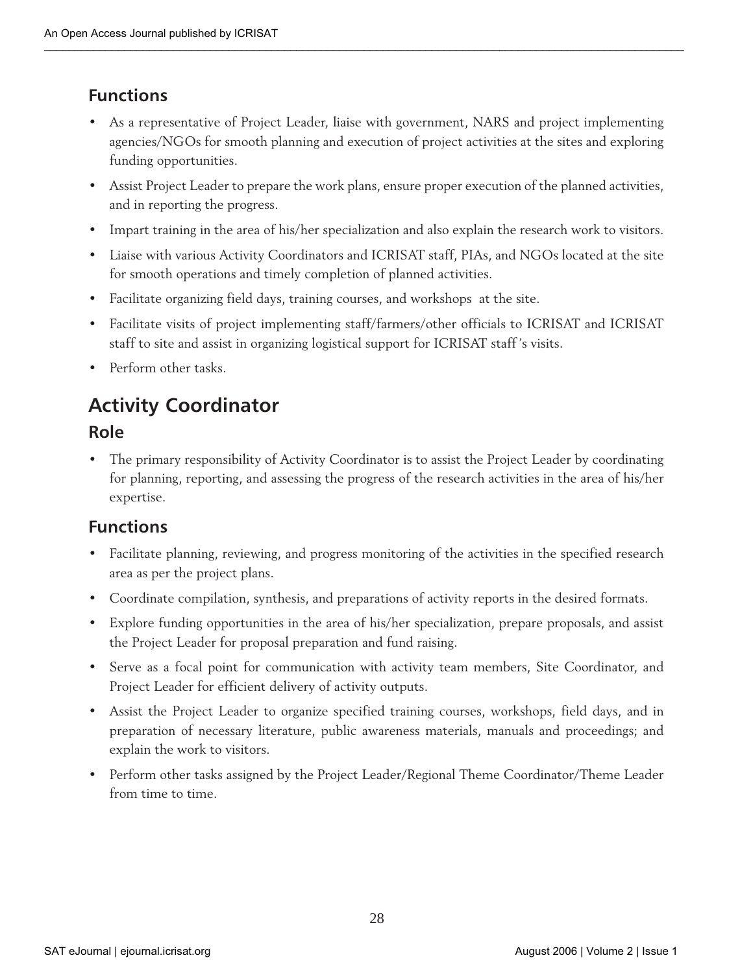### **Functions**

- As a representative of Project Leader, liaise with government, NARS and project implementing agencies/NGOs for smooth planning and execution of project activities at the sites and exploring funding opportunities.
- Assist Project Leader to prepare the work plans, ensure proper execution of the planned activities, and in reporting the progress.
- Impart training in the area of his/her specialization and also explain the research work to visitors.
- Liaise with various Activity Coordinators and ICRISAT staff, PIAs, and NGOs located at the site for smooth operations and timely completion of planned activities.
- Facilitate organizing field days, training courses, and workshops at the site.
- Facilitate visits of project implementing staff/farmers/other officials to ICRISAT and ICRISAT staff to site and assist in organizing logistical support for ICRISAT staff's visits.
- Perform other tasks.

# **Activity Coordinator**

### **Role**

• The primary responsibility of Activity Coordinator is to assist the Project Leader by coordinating for planning, reporting, and assessing the progress of the research activities in the area of his/her expertise.

### **Functions**

- Facilitate planning, reviewing, and progress monitoring of the activities in the specified research area as per the project plans.
- Coordinate compilation, synthesis, and preparations of activity reports in the desired formats.
- Explore funding opportunities in the area of his/her specialization, prepare proposals, and assist the Project Leader for proposal preparation and fund raising.
- Serve as a focal point for communication with activity team members, Site Coordinator, and Project Leader for efficient delivery of activity outputs.
- Assist the Project Leader to organize specified training courses, workshops, field days, and in preparation of necessary literature, public awareness materials, manuals and proceedings; and explain the work to visitors.
- Perform other tasks assigned by the Project Leader/Regional Theme Coordinator/Theme Leader from time to time.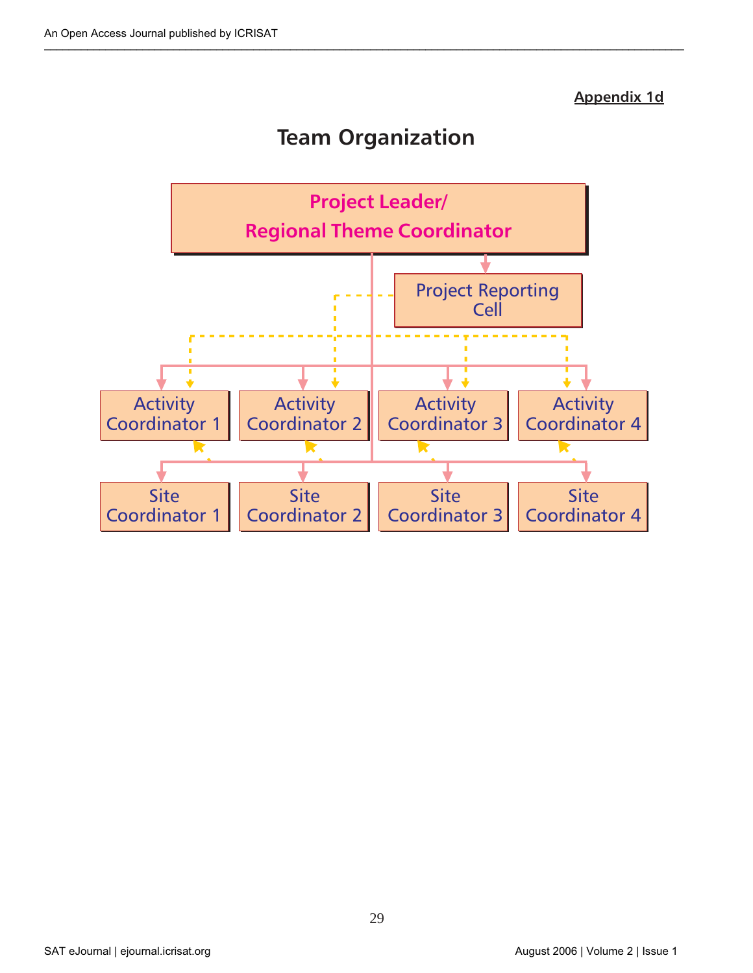### **Appendix 1d**

# **Team Organization**



29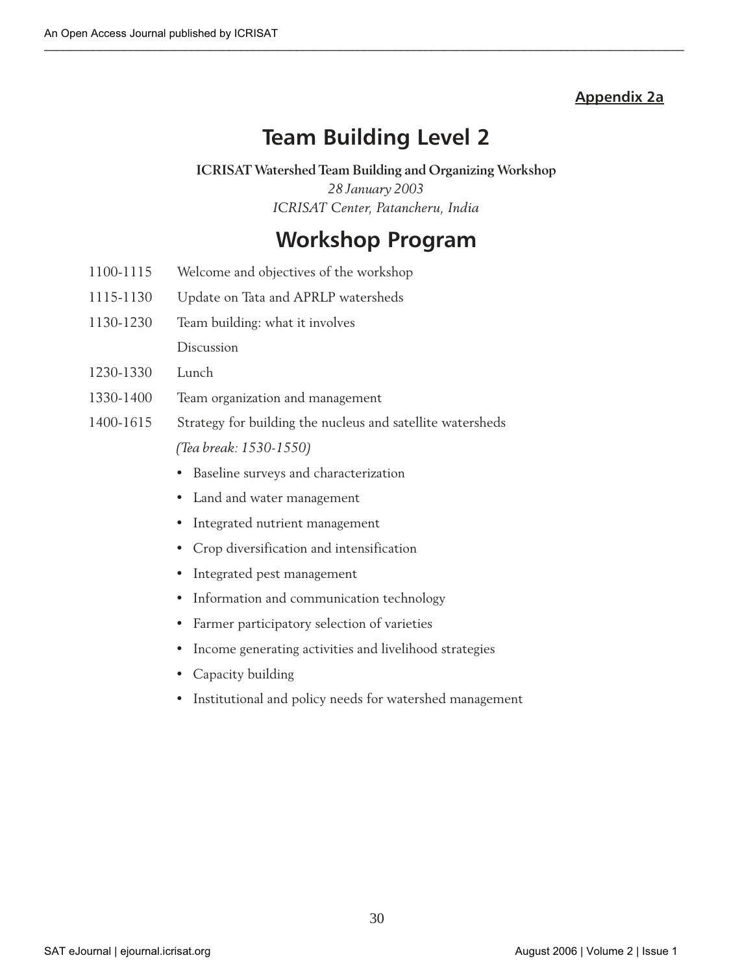#### **Appendix 2a**

# **Team Building Level 2**

#### **ICRISAT Watershed Team Building and Organizing Workshop**

*28 January 2003 ICRISAT Center, Patancheru, India*

# **Workshop Program**

- 1100-1115 Welcome and objectives of the workshop
- 1115-1130 Update on Tata and APRLP watersheds
- 1130-1230 Team building: what it involves Discussion
- 1230-1330 Lunch
- 1330-1400 Team organization and management
- 1400-1615 Strategy for building the nucleus and satellite watersheds *(Tea break: 1530-1550)*
	- Baseline surveys and characterization
	- Land and water management
	- Integrated nutrient management
	- Crop diversification and intensification
	- Integrated pest management
	- Information and communication technology
	- Farmer participatory selection of varieties
	- Income generating activities and livelihood strategies
	- Capacity building
	- Institutional and policy needs for watershed management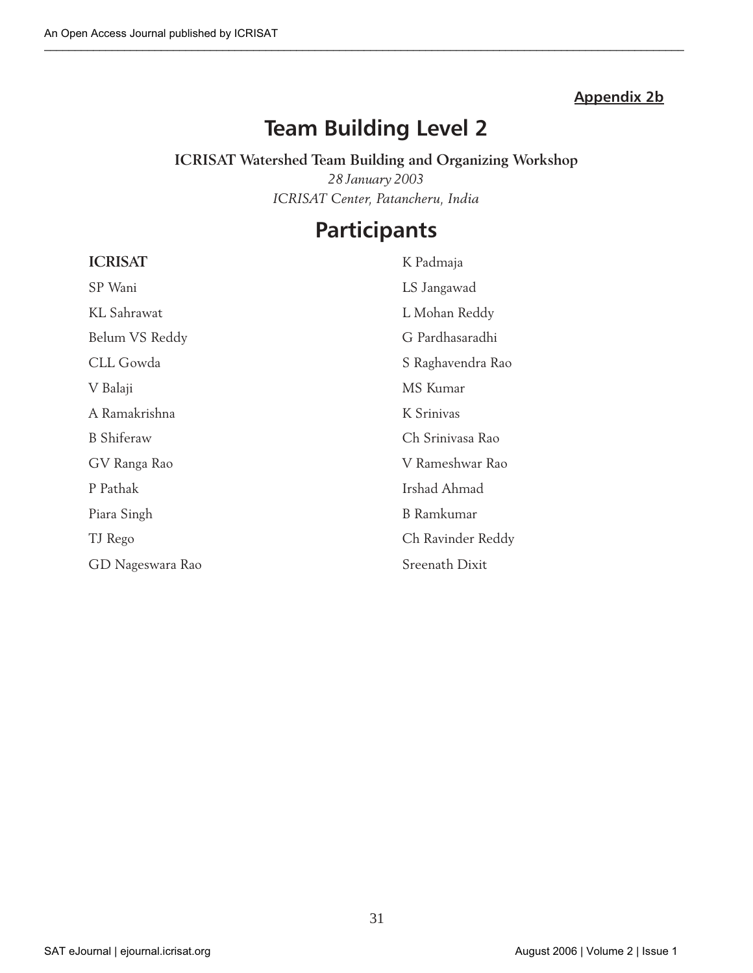### **Appendix 2b**

# **Team Building Level 2**

### **ICRISAT Watershed Team Building and Organizing Workshop**

*28 January 2003 ICRISAT Center, Patancheru, India*

# **Participants**

| <b>ICRISAT</b>    | K Padmaja         |
|-------------------|-------------------|
| SP Wani           | LS Jangawad       |
| KL Sahrawat       | L Mohan Reddy     |
| Belum VS Reddy    | G Pardhasaradhi   |
| CLL Gowda         | S Raghavendra Rao |
| V Balaji          | MS Kumar          |
| A Ramakrishna     | K Srinivas        |
| <b>B</b> Shiferaw | Ch Srinivasa Rao  |
| GV Ranga Rao      | V Rameshwar Rao   |
| P Pathak          | Irshad Ahmad      |
| Piara Singh       | <b>B</b> Ramkumar |
| TJ Rego           | Ch Ravinder Reddy |
| GD Nageswara Rao  | Sreenath Dixit    |

#### SAT eJournal | ejournal.icrisat.org | Notice 1 | August 2006 | Volume 2 | Issue 1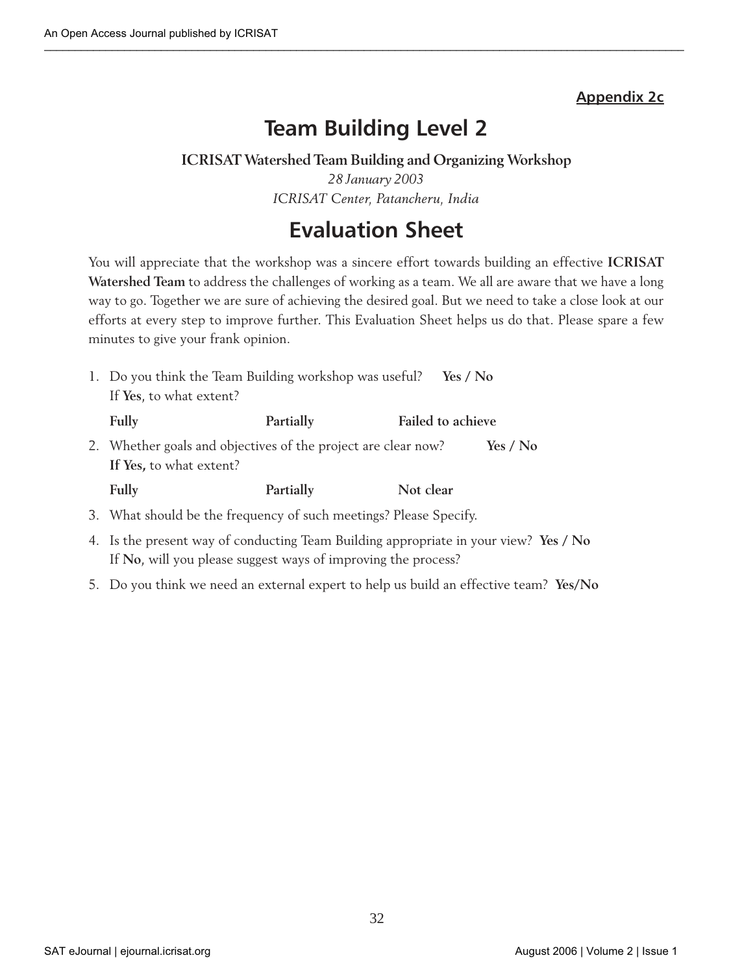### **Appendix 2c**

# **Team Building Level 2**

### **ICRISAT Watershed Team Building and Organizing Workshop**

*28 January 2003 ICRISAT Center, Patancheru, India*

# **Evaluation Sheet**

You will appreciate that the workshop was a sincere effort towards building an effective **ICRISAT Watershed Team** to address the challenges of working as a team. We all are aware that we have a long way to go. Together we are sure of achieving the desired goal. But we need to take a close look at our efforts at every step to improve further. This Evaluation Sheet helps us do that. Please spare a few minutes to give your frank opinion.

| 1. Do you think the Team Building workshop was useful?<br>Yes / No                       |           |                          |          |  |  |
|------------------------------------------------------------------------------------------|-----------|--------------------------|----------|--|--|
| If Yes, to what extent?                                                                  |           |                          |          |  |  |
| Fully                                                                                    | Partially | <b>Failed to achieve</b> |          |  |  |
| 2. Whether goals and objectives of the project are clear now?<br>If Yes, to what extent? |           |                          | Yes / No |  |  |
| Fully                                                                                    | Partially | Not clear                |          |  |  |

- 3. What should be the frequency of such meetings? Please Specify.
- 4. Is the present way of conducting Team Building appropriate in your view? **Yes / No** If **No**, will you please suggest ways of improving the process?
- 5. Do you think we need an external expert to help us build an effective team? **Yes/No**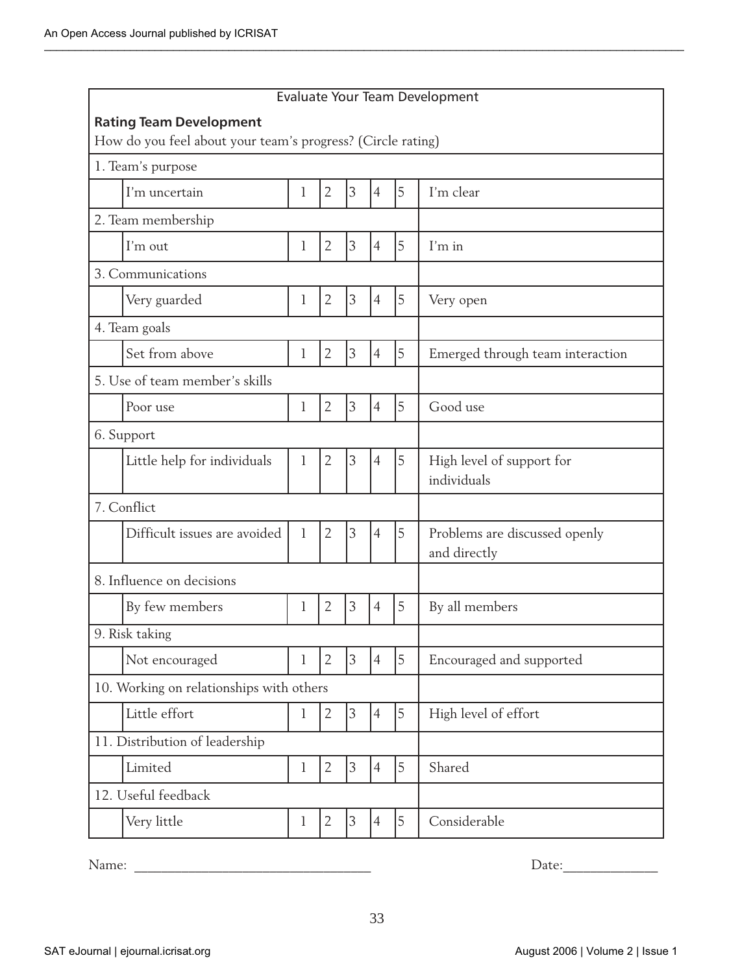| Evaluate Your Team Development                              |                                          |              |                |                |                |   |                                               |
|-------------------------------------------------------------|------------------------------------------|--------------|----------------|----------------|----------------|---|-----------------------------------------------|
| <b>Rating Team Development</b>                              |                                          |              |                |                |                |   |                                               |
| How do you feel about your team's progress? (Circle rating) |                                          |              |                |                |                |   |                                               |
| 1. Team's purpose                                           |                                          |              |                |                |                |   |                                               |
|                                                             | I'm uncertain                            | 1            | $\overline{2}$ | 3              | $\overline{4}$ | 5 | I'm clear                                     |
|                                                             | 2. Team membership                       |              |                |                |                |   |                                               |
|                                                             | I'm out                                  | 1            | $\overline{2}$ | 3              | $\overline{4}$ | 5 | I'm in                                        |
|                                                             | 3. Communications                        |              |                |                |                |   |                                               |
|                                                             | Very guarded                             | 1            | $\overline{2}$ | 3              | $\overline{4}$ | 5 | Very open                                     |
|                                                             | 4. Team goals                            |              |                |                |                |   |                                               |
|                                                             | Set from above                           | 1            | $\overline{2}$ | $\mathfrak{Z}$ | $\overline{4}$ | 5 | Emerged through team interaction              |
|                                                             | 5. Use of team member's skills           |              |                |                |                |   |                                               |
|                                                             | Poor use                                 | 1            | $\overline{2}$ | 3              | $\overline{4}$ | 5 | Good use                                      |
| 6. Support                                                  |                                          |              |                |                |                |   |                                               |
|                                                             | Little help for individuals              | 1            | $\overline{2}$ | 3              | $\overline{4}$ | 5 | High level of support for<br>individuals      |
| 7. Conflict                                                 |                                          |              |                |                |                |   |                                               |
|                                                             | Difficult issues are avoided             | $\mathbf{1}$ | $\overline{2}$ | 3              | $\overline{4}$ | 5 | Problems are discussed openly<br>and directly |
|                                                             | 8. Influence on decisions                |              |                |                |                |   |                                               |
|                                                             | By few members                           | 1            | $\overline{2}$ | 3              | $\overline{4}$ | 5 | By all members                                |
|                                                             | 9. Risk taking                           |              |                |                |                |   |                                               |
|                                                             | Not encouraged                           | 1            | $\overline{2}$ | $\overline{3}$ | $\overline{4}$ | 5 | Encouraged and supported                      |
|                                                             | 10. Working on relationships with others |              |                |                |                |   |                                               |
|                                                             | Little effort                            | l            | $\overline{2}$ | 3              | $\overline{4}$ | 5 | High level of effort                          |
| 11. Distribution of leadership                              |                                          |              |                |                |                |   |                                               |
|                                                             | Limited                                  | 1            | $\overline{2}$ | 3              | $\overline{4}$ | 5 | Shared                                        |
|                                                             | 12. Useful feedback                      |              |                |                |                |   |                                               |
|                                                             | Very little                              | 1            | $\overline{2}$ | 3              | $\overline{4}$ | 5 | Considerable                                  |
|                                                             |                                          |              |                |                |                |   |                                               |

Name: \_\_\_\_\_\_\_\_\_\_\_\_\_\_\_\_\_\_\_\_\_\_\_\_\_\_\_\_\_\_\_\_\_\_\_ Date:\_\_\_\_\_\_\_\_\_\_\_\_\_\_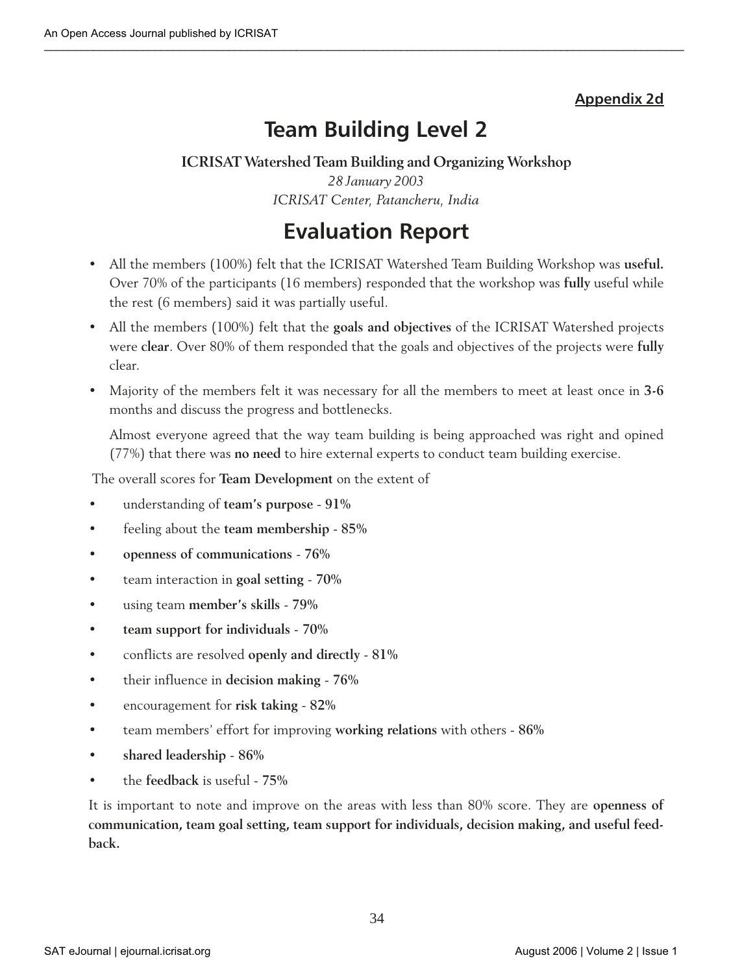### **Appendix 2d**

# **Team Building Level 2**

**ICRISAT Watershed Team Building and Organizing Workshop** *28 January 2003 ICRISAT Center, Patancheru, India*

# **Evaluation Report**

- All the members (100%) felt that the ICRISAT Watershed Team Building Workshop was **useful.** Over 70% of the participants (16 members) responded that the workshop was **fully** useful while the rest (6 members) said it was partially useful.
- All the members (100%) felt that the **goals and objectives** of the ICRISAT Watershed projects were **clear**. Over 80% of them responded that the goals and objectives of the projects were **fully** clear.
- Majority of the members felt it was necessary for all the members to meet at least once in **3-6** months and discuss the progress and bottlenecks.

Almost everyone agreed that the way team building is being approached was right and opined (77%) that there was **no need** to hire external experts to conduct team building exercise.

The overall scores for **Team Development** on the extent of

- understanding of **team's purpose** - **91%**
- feeling about the **team membership 85%**
- **openness of communications 76%**
- team interaction in **goal setting 70%**
- using team **member's skills 79%**
- **team support for individuals 70%**
- conflicts are resolved **openly and directly 81%**
- their influence in **decision making** - **76%**
- encouragement for **risk taking 82%**
- team members' effort for improving **working relations** with others **86%**
- **shared leadership 86%**
- the **feedback** is useful **75%**

It is important to note and improve on the areas with less than 80% score. They are **openness of communication, team goal setting, team support for individuals, decision making, and useful feedback.**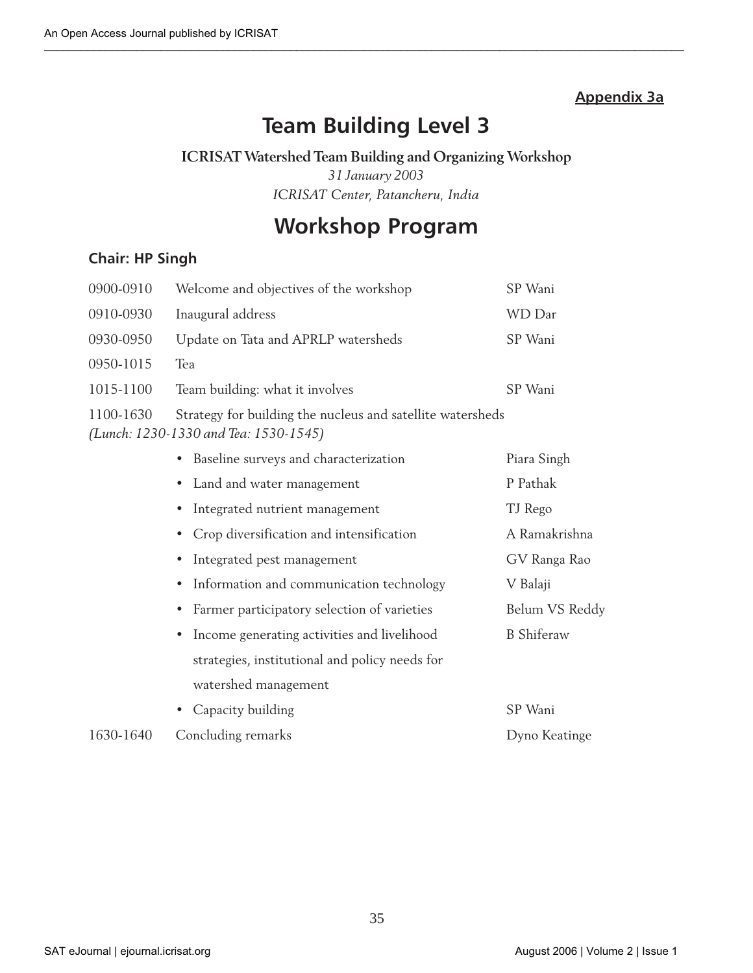### **Appendix 3a**

# **Team Building Level 3**

### **ICRISAT Watershed Team Building and Organizing Workshop**

*31 January 2003 ICRISAT Center, Patancheru, India*

# **Workshop Program**

### **Chair: HP Singh**

| 0900-0910 | Welcome and objectives of the workshop                                                              | SP Wani     |
|-----------|-----------------------------------------------------------------------------------------------------|-------------|
| 0910-0930 | Inaugural address                                                                                   | WD Dar      |
| 0930-0950 | Update on Tata and APRLP watersheds                                                                 | SP Wani     |
| 0950-1015 | Tea                                                                                                 |             |
| 1015-1100 | Team building: what it involves                                                                     | SP Wani     |
| 1100-1630 | Strategy for building the nucleus and satellite watersheds<br>(Lunch: 1230-1330 and Tea: 1530-1545) |             |
|           | • Baseline surveys and characterization                                                             | Piara Singh |
|           | • Land and water management                                                                         | P Pathak    |

|           | • Land and water management                    | P Pathak          |
|-----------|------------------------------------------------|-------------------|
|           | • Integrated nutrient management               | TJ Rego           |
|           | • Crop diversification and intensification     | A Ramakrishna     |
|           | • Integrated pest management                   | GV Ranga Rao      |
|           | • Information and communication technology     | V Balaji          |
|           | • Farmer participatory selection of varieties  | Belum VS Reddy    |
|           | • Income generating activities and livelihood  | <b>B</b> Shiferaw |
|           | strategies, institutional and policy needs for |                   |
|           | watershed management                           |                   |
|           | • Capacity building                            | SP Wani           |
| 1630-1640 | Concluding remarks                             | Dyno Keatinge     |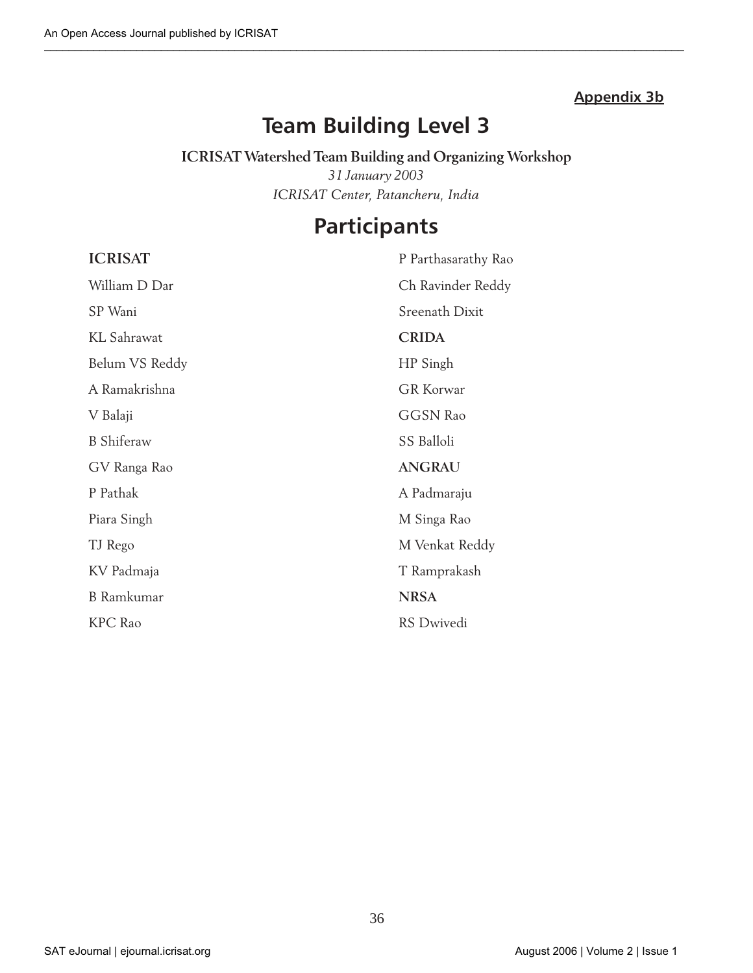### **Appendix 3b**

# **Team Building Level 3**

### **ICRISAT Watershed Team Building and Organizing Workshop** *31 January 2003 ICRISAT Center, Patancheru, India*

# **Participants**

| <b>ICRISAT</b>     | P Parthasarathy Rao |
|--------------------|---------------------|
| William D Dar      | Ch Ravinder Reddy   |
| SP Wani            | Sreenath Dixit      |
| <b>KL</b> Sahrawat | <b>CRIDA</b>        |
| Belum VS Reddy     | HP Singh            |
| A Ramakrishna      | <b>GR</b> Korwar    |
| V Balaji           | <b>GGSN Rao</b>     |
| <b>B</b> Shiferaw  | SS Balloli          |
| GV Ranga Rao       | <b>ANGRAU</b>       |
| P Pathak           | A Padmaraju         |
| Piara Singh        | M Singa Rao         |
| TJ Rego            | M Venkat Reddy      |
| KV Padmaja         | T Ramprakash        |
| <b>B</b> Ramkumar  | <b>NRSA</b>         |
| <b>KPC</b> Rao     | RS Dwivedi          |

36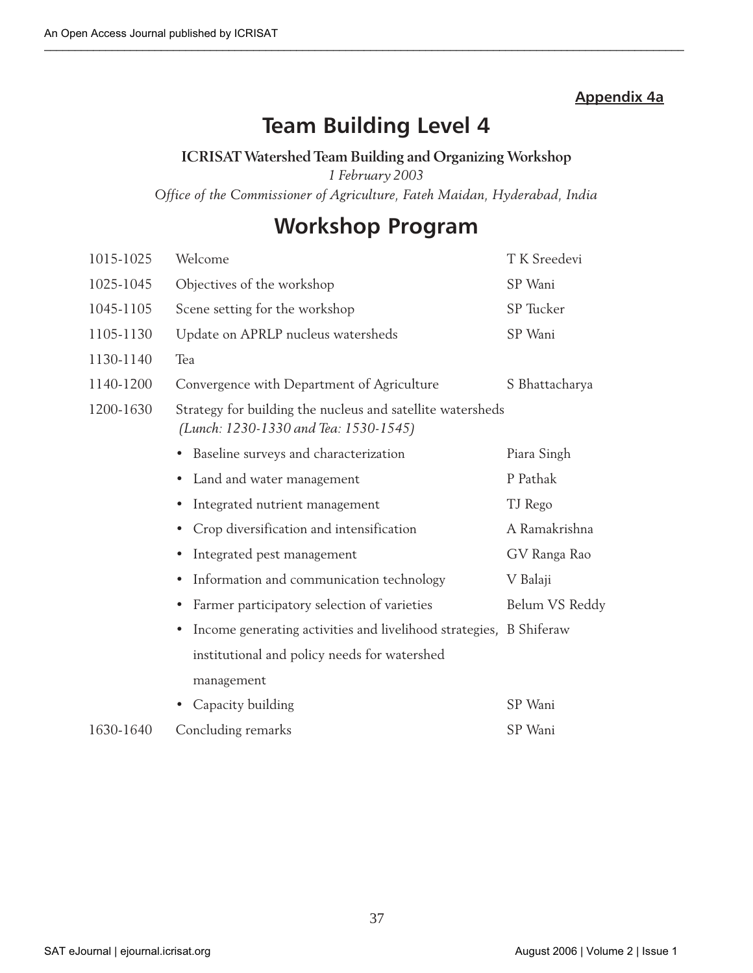### **Appendix 4a**

# **Team Building Level 4**

#### **ICRISAT Watershed Team Building and Organizing Workshop**

*1 February 2003*

*Office of the Commissioner of Agriculture, Fateh Maidan, Hyderabad, India*

# **Workshop Program**

| 1015-1025 | Welcome                                                                                             | T K Sreedevi   |
|-----------|-----------------------------------------------------------------------------------------------------|----------------|
| 1025-1045 | Objectives of the workshop                                                                          | SP Wani        |
| 1045-1105 | Scene setting for the workshop                                                                      | SP Tucker      |
| 1105-1130 | Update on APRLP nucleus watersheds                                                                  | SP Wani        |
| 1130-1140 | Tea                                                                                                 |                |
| 1140-1200 | Convergence with Department of Agriculture                                                          | S Bhattacharya |
| 1200-1630 | Strategy for building the nucleus and satellite watersheds<br>(Lunch: 1230-1330 and Tea: 1530-1545) |                |
|           | Baseline surveys and characterization                                                               | Piara Singh    |
|           | Land and water management<br>$\bullet$                                                              | P Pathak       |
|           | Integrated nutrient management<br>$\bullet$                                                         | TJ Rego        |
|           | Crop diversification and intensification<br>$\bullet$                                               | A Ramakrishna  |
|           | Integrated pest management                                                                          | GV Ranga Rao   |
|           | Information and communication technology<br>$\bullet$                                               | V Balaji       |
|           | Farmer participatory selection of varieties<br>$\bullet$                                            | Belum VS Reddy |
|           | Income generating activities and livelihood strategies, B Shiferaw<br>$\bullet$                     |                |
|           | institutional and policy needs for watershed                                                        |                |
|           | management                                                                                          |                |
|           | Capacity building                                                                                   | SP Wani        |
| 1630-1640 | Concluding remarks                                                                                  | SP Wani        |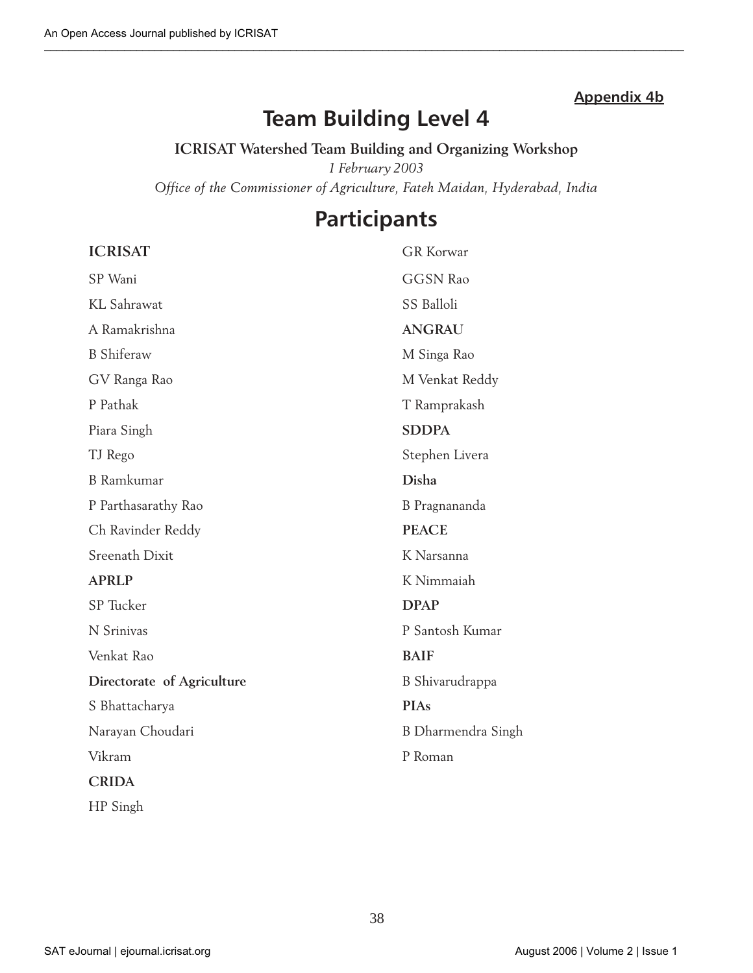### **Appendix 4b**

# **Team Building Level 4**

**ICRISAT Watershed Team Building and Organizing Workshop** *1 February 2003 Office of the Commissioner of Agriculture, Fateh Maidan, Hyderabad, India*

### **Participants**

### **ICRISAT** GR Korwar

| SP Wani                    | <b>GGSN Rao</b>    |
|----------------------------|--------------------|
| <b>KL</b> Sahrawat         | SS Balloli         |
| A Ramakrishna              | <b>ANGRAU</b>      |
| <b>B</b> Shiferaw          | M Singa Rao        |
| GV Ranga Rao               | M Venkat Reddy     |
| P Pathak                   | T Ramprakash       |
| Piara Singh                | <b>SDDPA</b>       |
| TJ Rego                    | Stephen Livera     |
| <b>B</b> Ramkumar          | Disha              |
| P Parthasarathy Rao        | B Pragnananda      |
| Ch Ravinder Reddy          | <b>PEACE</b>       |
| <b>Sreenath Dixit</b>      | K Narsanna         |
| <b>APRLP</b>               | K Nimmaiah         |
| SP Tucker                  | <b>DPAP</b>        |
| N Srinivas                 | P Santosh Kumar    |
| Venkat Rao                 | <b>BAIF</b>        |
| Directorate of Agriculture | B Shivarudrappa    |
| S Bhattacharya             | <b>PIAs</b>        |
| Narayan Choudari           | B Dharmendra Singh |
| Vikram                     | P Roman            |
| <b>CRIDA</b>               |                    |
| HP Singh                   |                    |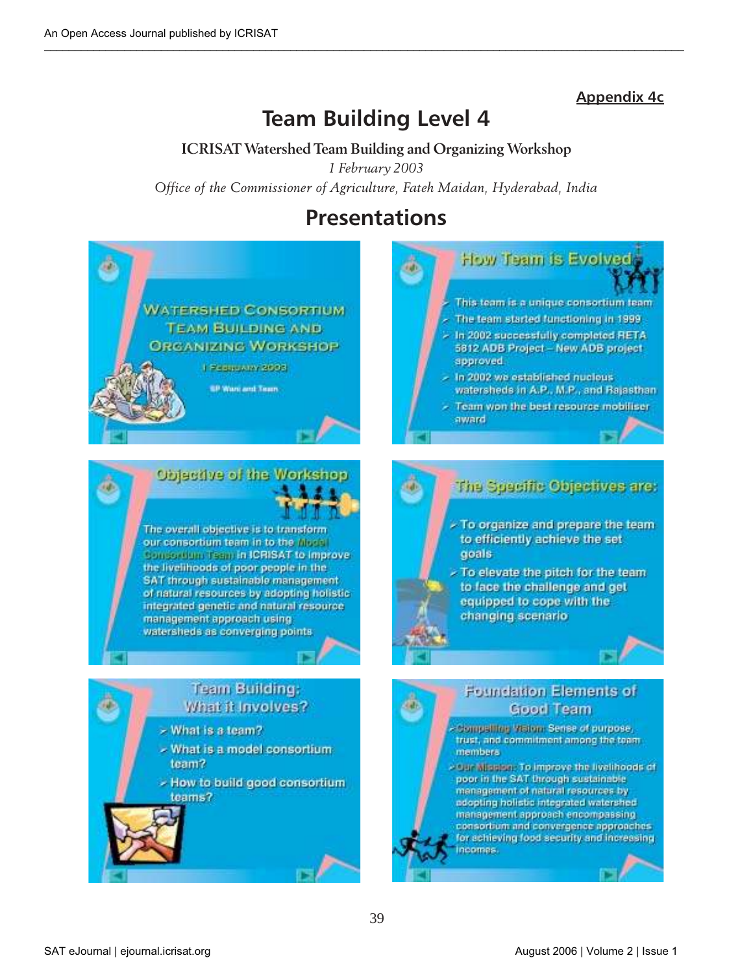### **Appendix 4c**

# **Team Building Level 4**

**ICRISAT Watershed Team Building and Organizing Workshop** *1 February 2003 Office of the Commissioner of Agriculture, Fateh Maidan, Hyderabad, India*

# **Presentations**





The overall objective is to transform our consortium team in to the Migral Consortium Team in ICRISAT to Improve the livelihoods of poor people in the SAT through sustainable management of natural resources by adopting holistic integrated genetic and natural resource management approach using watersheds as converging points

### **Team Building:** What it Involves?

- > What is a team?
- What is a model consortium team?
- How to build good consortium teams?



Team won the best resource mobiliser award

### The Specific Objectives are:

- To organize and prepare the team to efficiently achieve the set goals
- To elevate the pitch for the team to face the challenge and get equipped to cope with the changing scenario



Compalling Vision: Sense of purpose, trust, and commitment among the team.

SAT eJournal | ejournal.icrisat.org | November 2 | Issue 1 | August 2006 | Volume 2 | Issue 1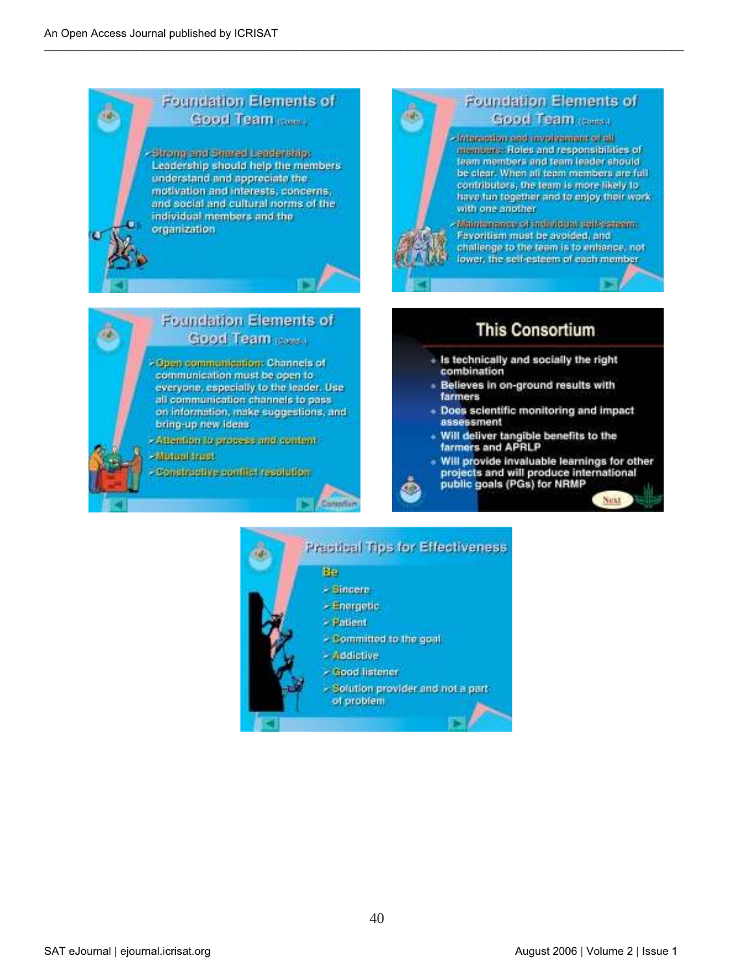#### **Foundation Elements of** Good Team range

strong and Shared Leaderships Leadership should help the members understand and appreciate the motivation and interests, concerns, and social and cultural norms of the individual members and the organization



# Foundation Elements of

#### Good Team comes

Interestiga and involvingent of all mentuers. Roles and responsibilities of team members and team leader should be clear. When all team members are full contributors, the team is more likely to have fun together and to enjoy their work. with one another.

Matrice Algariance of the bytelena and Algarian Favoritism must be avoided, and challenge to the team is to enhance, not lower, the self-esteem of each member

### **This Consortium**

- « Is technically and socially the right combination
- · Believes in on-ground results with farmers
- « Does scientific monitoring and impact assessment
- + Will deliver tangible benefits to the farmers and APRLP
- . Will provide invaluable learnings for other projects and will produce international<br>public goals (PGs) for NRMP

Next





Compfer

#### Foundation Elements of Good Team rooms

- Open communication: Channels of communication must be open to everyone, especially to the leader. Use all communication channels to pass on information, make suggestions, and

bring-up new ideas -Altention to groupse and content

#### **Altriusi innus**

Constructive conflict resolution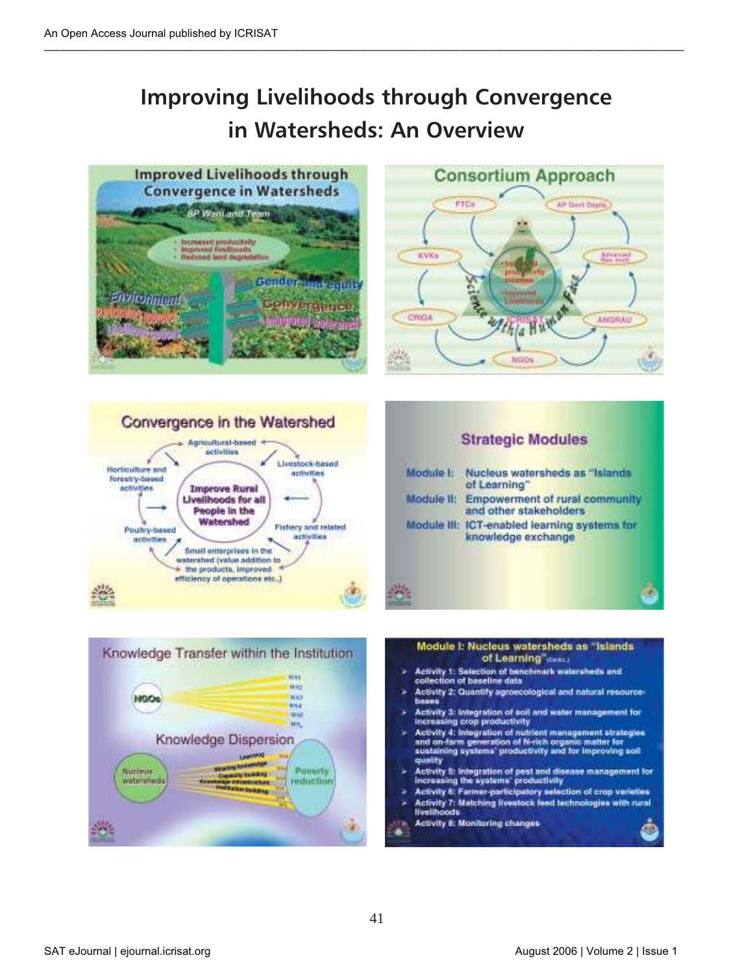# **Improving Livelihoods through Convergence in Watersheds: An Overview**













- Activity 1: Selection of benchmark watersheds and collection of baseline data
- Activity 2: Quantify agroecological and natural resource-Баяна
- Activity 3: Integration of soil and water management for increasing crop productivity
- Activity 4: Integration of nutrient management strategies and on-farm generation of N-rich organic matter for<br>austaining systems' productivity and for improving soil quality
- Activity 5: Integration of pest and disease management for increasing the systems' productivity
- Activity 6: Farmer-participatory selection of crop varieties Activity 7: Matching livestock feed technologies with rural
- livelihoods
- Activity 8: Monitoring changes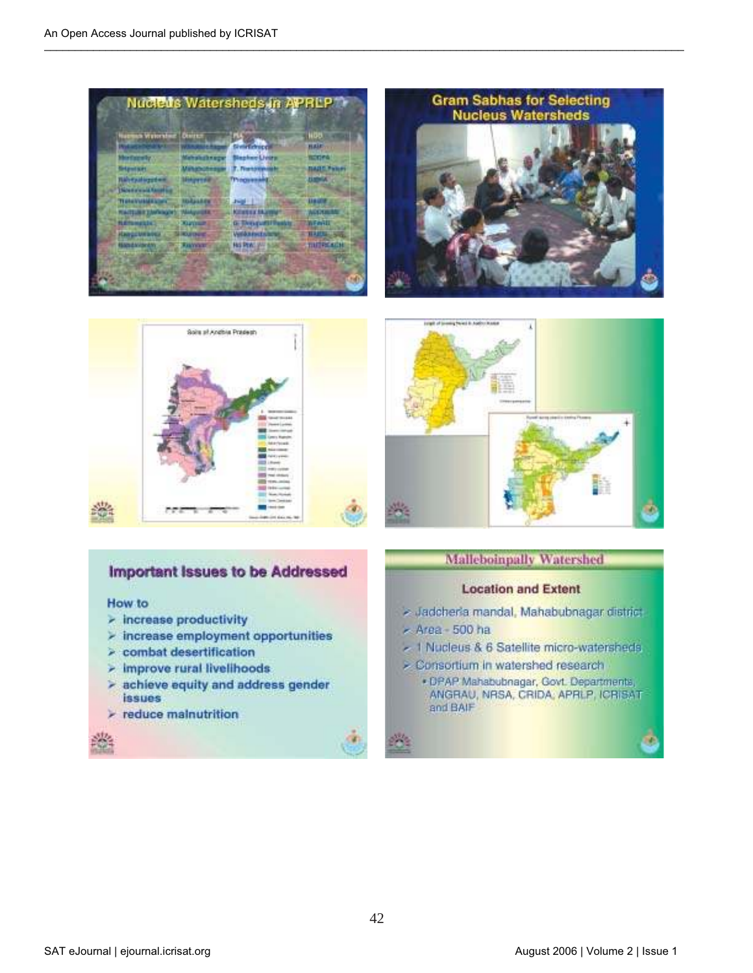







### Important Issues to be Addressed

#### How to

- $\geq$  increase productivity
- $\ge$  increase employment opportunities
- $\ge$  combat desertification
- $>$  improve rural livelihoods
- > achieve equity and address gender *issues*
- $\triangleright$  reduce mainutrition

#### **Malleboinpally Watershed**

#### **Location and Extent**

- > Jadcheria mandal, Mahabubnagar district
- Area 500 ha
- 1 Nucleus & 6 Satellite micro-watersheds
- > Consortium in watershed research
	- · DPAP Mahabubnagar, Govt. Departments, ANGRAU, NRSA, CRIDA, APRLP, ICRISAT and BAIF

у.

n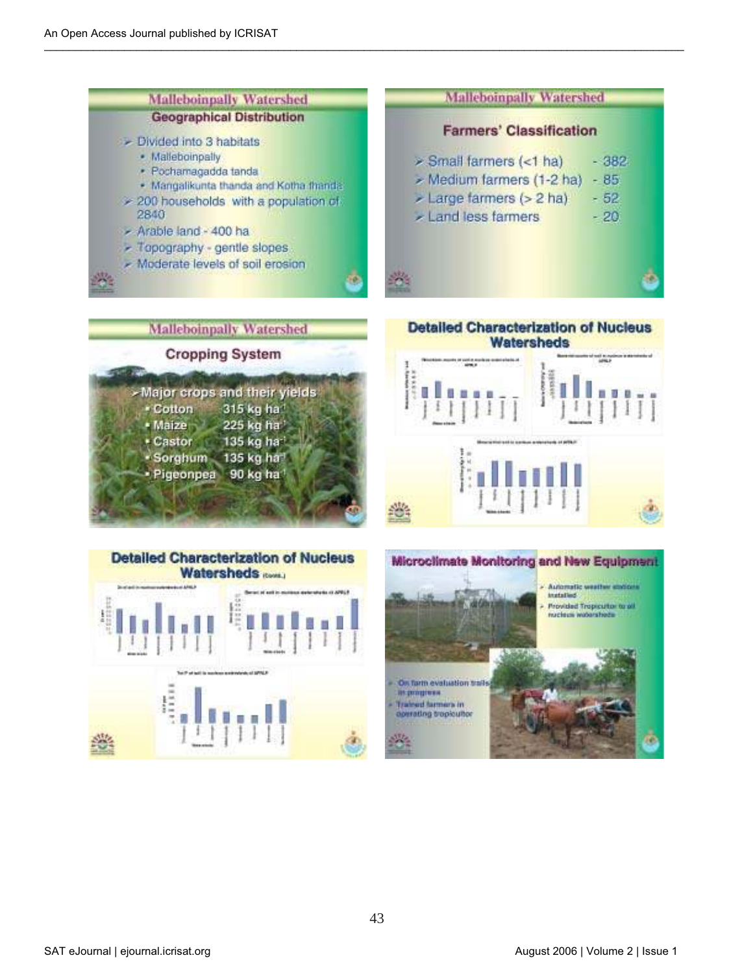





**Watersheds** 



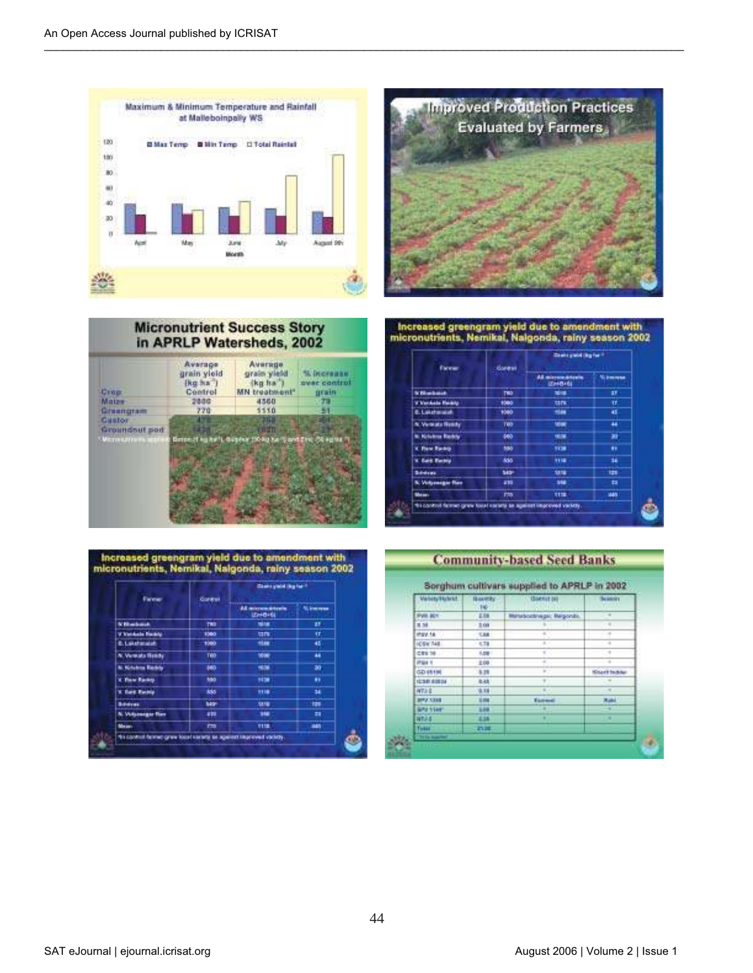





Increased greengram yield due to amendment with<br>micronutrients, Nemikal, Nalgonda, rainy season 2002

| Fareway                                                           | <b>Gonese</b>   | Classics global (ling-fear-fi         |                |
|-------------------------------------------------------------------|-----------------|---------------------------------------|----------------|
|                                                                   |                 | All microwakterin<br><b>LEWISH 64</b> | <b>Nikmman</b> |
| <b>Villadorch</b>                                                 | <b>TBD</b>      | <b>NOR</b>                            | 27             |
| <b>Witnibale Fledible</b>                                         | 1080            | $1$                                   | ŧr.            |
| 0. Lakehouse                                                      | 1080            | <b>Hill</b>                           | 45             |
| A. Versatz Ready                                                  | TWO <sup></sup> | 1004                                  | 44             |
| <b>N. Krishna Rockis</b>                                          | 460             | 1008                                  | æ              |
| V. Flow Rackty.                                                   | 550             | 1138                                  | .,             |
| V. Earl Earnig                                                    | 885             | 1118                                  | ü              |
| <b>Scheinung</b>                                                  | tear-           | 38.59                                 | m              |
| <b>N. Vidsmager Ray</b>                                           | 210             | w                                     | m              |
| Mean:                                                             | m               | <b>TIME</b>                           | ain.           |
| responsed famous graw toget earliest an against improved variety. |                 |                                       |                |

| increased greengram yield due to amendment with      |
|------------------------------------------------------|
| micronutrients, Nemikal, Nalgonda, rainy season 2002 |

| Fareway                                                        | <b>Gonevil</b>  | Chairs you'd big for ?                |                |
|----------------------------------------------------------------|-----------------|---------------------------------------|----------------|
|                                                                |                 | All microwakterin<br><b>LEWISH 64</b> | <b>Nikmman</b> |
| <b>Villadake</b>                                               | 780             | <b>NIAK</b>                           | 27             |
| V Venhale Fledity                                              | 1080            | $1$                                   | ŦF.            |
| <b>C. Lakehanalah</b>                                          | 1000            | <b>Him</b>                            | 45             |
| A. Versatz Ready                                               | TWO <sup></sup> | <b>MAK</b>                            | 44             |
| <b>N. Kirlukrus Riockits</b>                                   | 460             | 1006                                  | æ              |
| V. Flow Rackty.                                                | 550             | 1138                                  |                |
| V. Karl Rachip                                                 | sso.            | 1118                                  | u              |
| <b>Bibliograph</b>                                             | tetri           | 1878                                  | m              |
| <b>N. Vidsmager Ran</b>                                        | 219             | w                                     | 韗              |
| Mean:                                                          | m               | 1118.                                 | 845            |
| finished fames graw local earlies as against legional vaciety. |                 |                                       |                |

#### **Community-based Seed Banks**

| <b><i><u>Manage Blutest</u></i></b> | <b>Basethy</b><br>In- | Giantet bill<br>$-1$    | <b>Science</b><br><b>TENT</b> |
|-------------------------------------|-----------------------|-------------------------|-------------------------------|
| <b>PVM BOY</b>                      | 2.08                  | Manabookraige: Magonda. |                               |
| 8.58                                | 2.09                  |                         |                               |
| 87.VER                              | T.H.                  |                         |                               |
| ICENTAR                             | $-0.78$               |                         |                               |
| CRE'TE                              | 1.08                  |                         |                               |
| <b>IPSI4 1</b>                      | 2.00                  |                         |                               |
| 00.05196                            | 5.29                  |                         | <b>Sisan'l Indow</b>          |
| <b>ICSR AIRS</b>                    | 8.45                  |                         |                               |
| <b>NTAL</b>                         | 9, 18                 | <b>ALC</b>              | $\sim$                        |
| <b>BILLY FAIR</b>                   | 1.04                  | Execute                 | <b>Rabi</b>                   |
| <b>BAN Veer</b>                     | 5.00                  |                         |                               |
| <b>NTJLE</b>                        | <b>H38</b>            |                         |                               |
| funkt:                              | om m                  |                         |                               |
| To the supported                    |                       |                         |                               |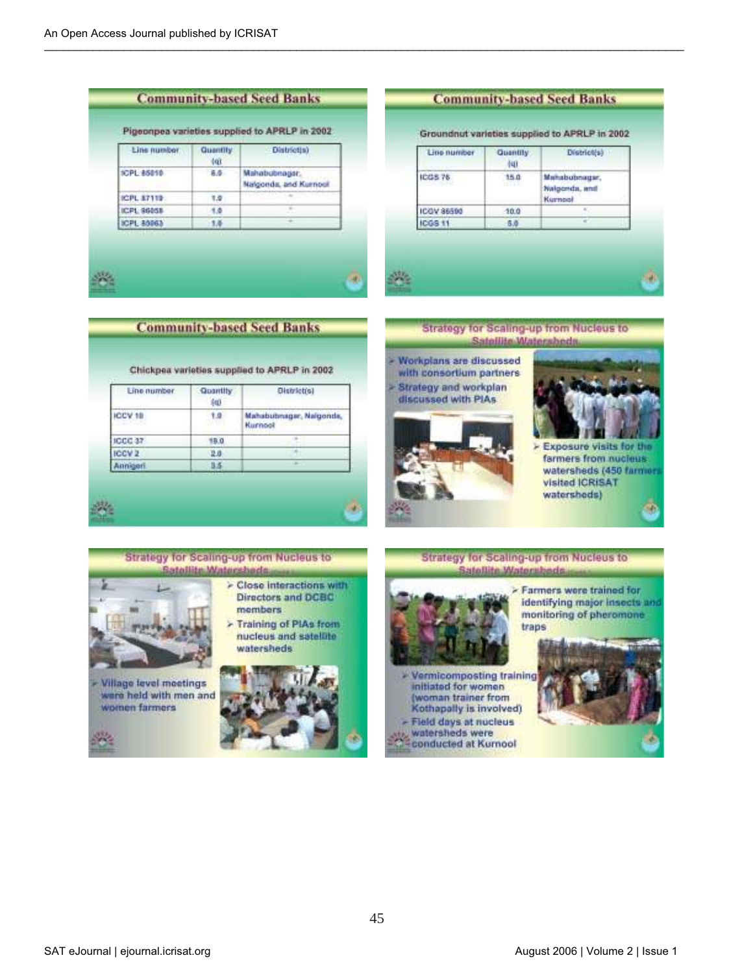| Line number        | <b>Quantify</b><br><b>tur</b> | Districtia)                             |
|--------------------|-------------------------------|-----------------------------------------|
| <b>SCPL 85010</b>  | 6.0                           | Mahabubnagar,<br>Nalgonda, and Kurnoul. |
| <b>ICPL 87119:</b> | 1.0                           |                                         |
| ICPL 96058         | 1.0                           |                                         |
| ICPL 80063         | 1.6                           |                                         |

#### **Community-based Seed Banks**

Groundnut varieties supplied to APRLP in 2002

| ICGS 76               | 15.0<br><b>REAL</b> | Mahabubnagar,<br>Nalgonda, and<br>Kurnpol |
|-----------------------|---------------------|-------------------------------------------|
| ICOV 96590<br>ICOS 11 | 10.0                |                                           |
|                       | $-6.0$<br>. .       |                                           |









Exposure visits for the farmers from nucleus. watersheds (450 farmers visited ICRISAT watersheds)



**Village level meetings** were held with men and women farmers



**Strategy for scaling-up from Nucleus to** Satellite Watersbeds > Farmers were trained for identifying major insects and monitoring of pheromone traps